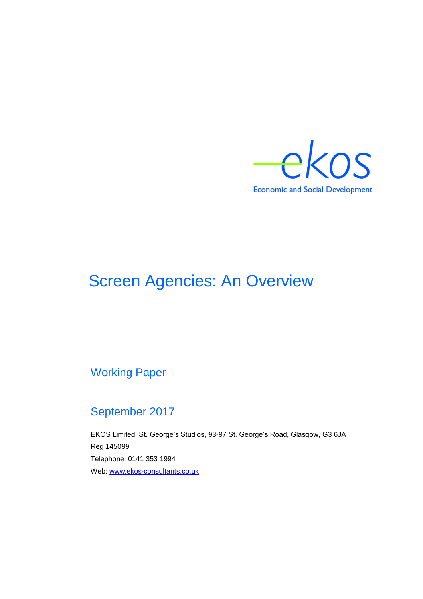

# Screen Agencies: An Overview

### Working Paper

### September 2017

EKOS Limited, St. George's Studios, 93-97 St. George's Road, Glasgow, G3 6JA Reg 145099 Telephone: 0141 353 1994 Web: [www.ekos-consultants.co.uk](http://www.ekos-consultants.co.uk/)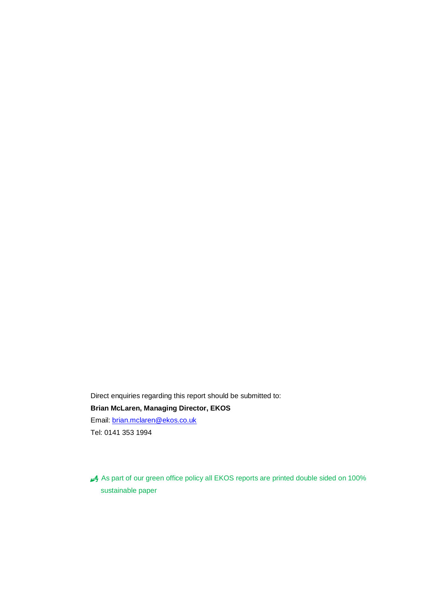Direct enquiries regarding this report should be submitted to:

**Brian McLaren, Managing Director, EKOS**

Email: [brian.mclaren@ekos.co.uk](mailto:brian.mclaren@ekos.co.uk)

Tel: 0141 353 1994

 As part of our green office policy all EKOS reports are printed double sided on 100% sustainable paper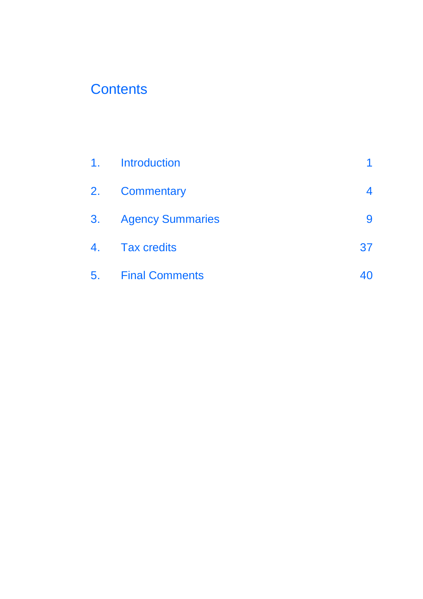# **Contents**

| 1. | Introduction            |    |
|----|-------------------------|----|
| 2. | <b>Commentary</b>       | 4  |
| 3. | <b>Agency Summaries</b> | 9  |
|    | 4. Tax credits          | 37 |
| 5. | <b>Final Comments</b>   | 40 |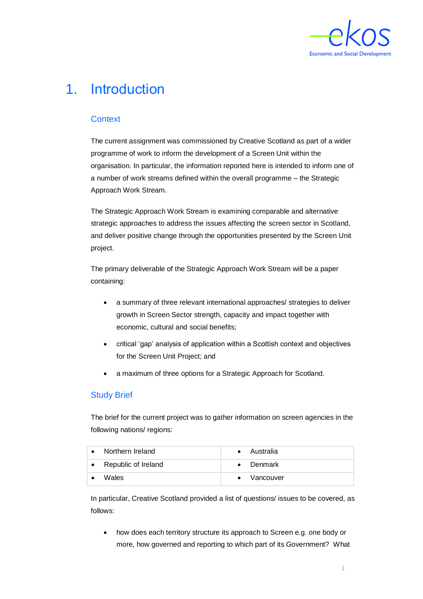

# <span id="page-3-0"></span>1. Introduction

#### **Context**

The current assignment was commissioned by Creative Scotland as part of a wider programme of work to inform the development of a Screen Unit within the organisation. In particular, the information reported here is intended to inform one of a number of work streams defined within the overall programme – the Strategic Approach Work Stream.

The Strategic Approach Work Stream is examining comparable and alternative strategic approaches to address the issues affecting the screen sector in Scotland, and deliver positive change through the opportunities presented by the Screen Unit project.

The primary deliverable of the Strategic Approach Work Stream will be a paper containing:

- a summary of three relevant international approaches/ strategies to deliver growth in Screen Sector strength, capacity and impact together with economic, cultural and social benefits;
- critical 'gap' analysis of application within a Scottish context and objectives for the Screen Unit Project; and
- a maximum of three options for a Strategic Approach for Scotland.

#### Study Brief

The brief for the current project was to gather information on screen agencies in the following nations/ regions:

| Northern Ireland<br>$\bullet$ | • Australia       |
|-------------------------------|-------------------|
| • Republic of Ireland         | $\bullet$ Denmark |
| <b>Wales</b>                  | • Vancouver       |

In particular, Creative Scotland provided a list of questions/ issues to be covered, as follows:

• how does each territory structure its approach to Screen e.g. one body or more, how governed and reporting to which part of its Government? What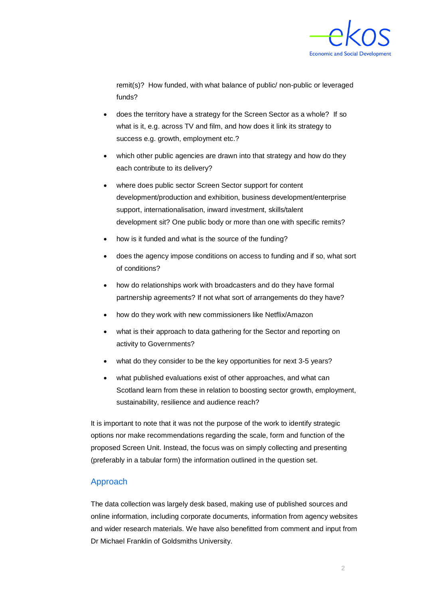

remit(s)? How funded, with what balance of public/ non-public or leveraged funds?

- does the territory have a strategy for the Screen Sector as a whole? If so what is it, e.g. across TV and film, and how does it link its strategy to success e.g. growth, employment etc.?
- which other public agencies are drawn into that strategy and how do they each contribute to its delivery?
- where does public sector Screen Sector support for content development/production and exhibition, business development/enterprise support, internationalisation, inward investment, skills/talent development sit? One public body or more than one with specific remits?
- how is it funded and what is the source of the funding?
- does the agency impose conditions on access to funding and if so, what sort of conditions?
- how do relationships work with broadcasters and do they have formal partnership agreements? If not what sort of arrangements do they have?
- how do they work with new commissioners like Netflix/Amazon
- what is their approach to data gathering for the Sector and reporting on activity to Governments?
- what do they consider to be the key opportunities for next 3-5 years?
- what published evaluations exist of other approaches, and what can Scotland learn from these in relation to boosting sector growth, employment, sustainability, resilience and audience reach?

It is important to note that it was not the purpose of the work to identify strategic options nor make recommendations regarding the scale, form and function of the proposed Screen Unit. Instead, the focus was on simply collecting and presenting (preferably in a tabular form) the information outlined in the question set.

#### Approach

The data collection was largely desk based, making use of published sources and online information, including corporate documents, information from agency websites and wider research materials. We have also benefitted from comment and input from Dr Michael Franklin of Goldsmiths University.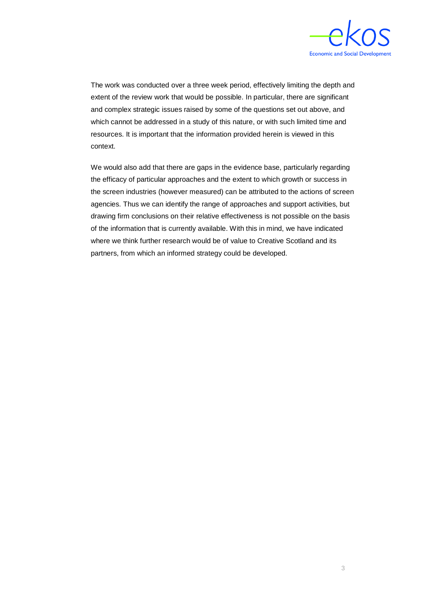

The work was conducted over a three week period, effectively limiting the depth and extent of the review work that would be possible. In particular, there are significant and complex strategic issues raised by some of the questions set out above, and which cannot be addressed in a study of this nature, or with such limited time and resources. It is important that the information provided herein is viewed in this context.

We would also add that there are gaps in the evidence base, particularly regarding the efficacy of particular approaches and the extent to which growth or success in the screen industries (however measured) can be attributed to the actions of screen agencies. Thus we can identify the range of approaches and support activities, but drawing firm conclusions on their relative effectiveness is not possible on the basis of the information that is currently available. With this in mind, we have indicated where we think further research would be of value to Creative Scotland and its partners, from which an informed strategy could be developed.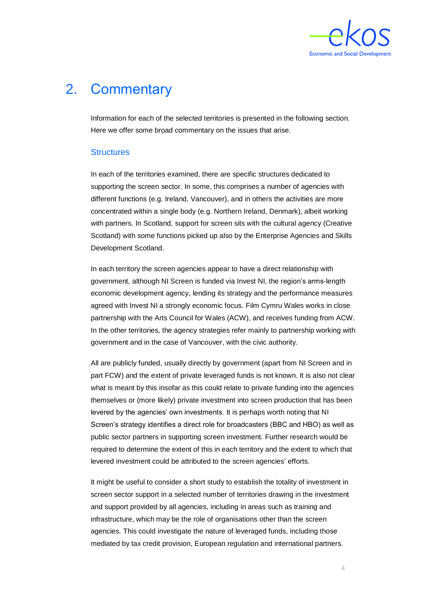

## <span id="page-6-0"></span>2. Commentary

Information for each of the selected territories is presented in the following section. Here we offer some broad commentary on the issues that arise.

#### **Structures**

In each of the territories examined, there are specific structures dedicated to supporting the screen sector. In some, this comprises a number of agencies with different functions (e.g. Ireland, Vancouver), and in others the activities are more concentrated within a single body (e.g. Northern Ireland, Denmark), albeit working with partners. In Scotland, support for screen sits with the cultural agency (Creative Scotland) with some functions picked up also by the Enterprise Agencies and Skills Development Scotland.

In each territory the screen agencies appear to have a direct relationship with government, although NI Screen is funded via Invest NI, the region's arms-length economic development agency, lending its strategy and the performance measures agreed with Invest NI a strongly economic focus. Film Cymru Wales works in close partnership with the Arts Council for Wales (ACW), and receives funding from ACW. In the other territories, the agency strategies refer mainly to partnership working with government and in the case of Vancouver, with the civic authority.

All are publicly funded, usually directly by government (apart from NI Screen and in part FCW) and the extent of private leveraged funds is not known. It is also not clear what is meant by this insofar as this could relate to private funding into the agencies themselves or (more likely) private investment into screen production that has been levered by the agencies' own investments. It is perhaps worth noting that NI Screen's strategy identifies a direct role for broadcasters (BBC and HBO) as well as public sector partners in supporting screen investment. Further research would be required to determine the extent of this in each territory and the extent to which that levered investment could be attributed to the screen agencies' efforts.

It might be useful to consider a short study to establish the totality of investment in screen sector support in a selected number of territories drawing in the investment and support provided by all agencies, including in areas such as training and infrastructure, which may be the role of organisations other than the screen agencies. This could investigate the nature of leveraged funds, including those mediated by tax credit provision, European regulation and international partners.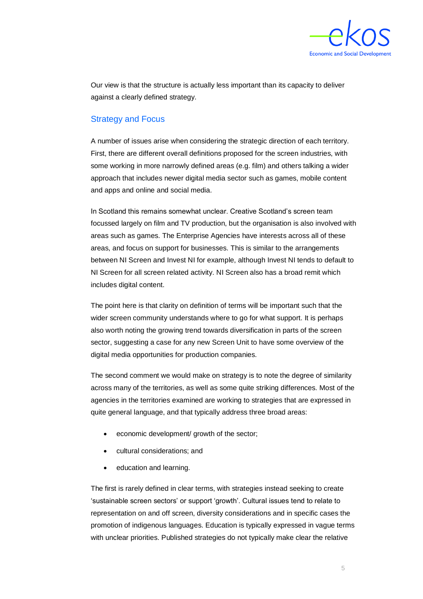

Our view is that the structure is actually less important than its capacity to deliver against a clearly defined strategy.

#### Strategy and Focus

A number of issues arise when considering the strategic direction of each territory. First, there are different overall definitions proposed for the screen industries, with some working in more narrowly defined areas (e.g. film) and others talking a wider approach that includes newer digital media sector such as games, mobile content and apps and online and social media.

In Scotland this remains somewhat unclear. Creative Scotland's screen team focussed largely on film and TV production, but the organisation is also involved with areas such as games. The Enterprise Agencies have interests across all of these areas, and focus on support for businesses. This is similar to the arrangements between NI Screen and Invest NI for example, although Invest NI tends to default to NI Screen for all screen related activity. NI Screen also has a broad remit which includes digital content.

The point here is that clarity on definition of terms will be important such that the wider screen community understands where to go for what support. It is perhaps also worth noting the growing trend towards diversification in parts of the screen sector, suggesting a case for any new Screen Unit to have some overview of the digital media opportunities for production companies.

The second comment we would make on strategy is to note the degree of similarity across many of the territories, as well as some quite striking differences. Most of the agencies in the territories examined are working to strategies that are expressed in quite general language, and that typically address three broad areas:

- economic development/ growth of the sector;
- cultural considerations; and
- education and learning.

The first is rarely defined in clear terms, with strategies instead seeking to create 'sustainable screen sectors' or support 'growth'. Cultural issues tend to relate to representation on and off screen, diversity considerations and in specific cases the promotion of indigenous languages. Education is typically expressed in vague terms with unclear priorities. Published strategies do not typically make clear the relative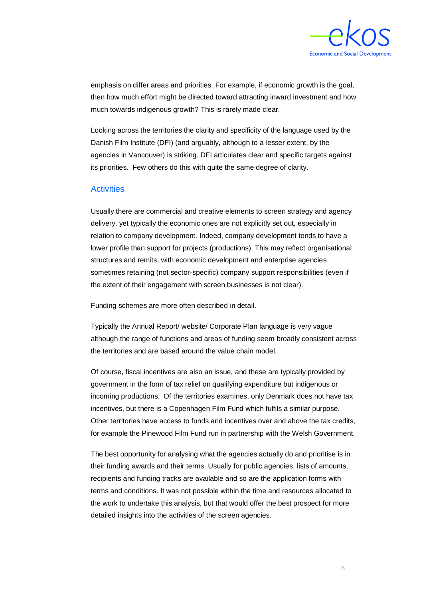

emphasis on differ areas and priorities. For example, if economic growth is the goal, then how much effort might be directed toward attracting inward investment and how much towards indigenous growth? This is rarely made clear.

Looking across the territories the clarity and specificity of the language used by the Danish Film Institute (DFI) (and arguably, although to a lesser extent, by the agencies in Vancouver) is striking. DFI articulates clear and specific targets against its priorities. Few others do this with quite the same degree of clarity.

#### **Activities**

Usually there are commercial and creative elements to screen strategy and agency delivery, yet typically the economic ones are not explicitly set out, especially in relation to company development. Indeed, company development tends to have a lower profile than support for projects (productions). This may reflect organisational structures and remits, with economic development and enterprise agencies sometimes retaining (not sector-specific) company support responsibilities (even if the extent of their engagement with screen businesses is not clear).

Funding schemes are more often described in detail.

Typically the Annual Report/ website/ Corporate Plan language is very vague although the range of functions and areas of funding seem broadly consistent across the territories and are based around the value chain model.

Of course, fiscal incentives are also an issue, and these are typically provided by government in the form of tax relief on qualifying expenditure but indigenous or incoming productions. Of the territories examines, only Denmark does not have tax incentives, but there is a Copenhagen Film Fund which fulfils a similar purpose. Other territories have access to funds and incentives over and above the tax credits, for example the Pinewood Film Fund run in partnership with the Welsh Government.

The best opportunity for analysing what the agencies actually do and prioritise is in their funding awards and their terms. Usually for public agencies, lists of amounts, recipients and funding tracks are available and so are the application forms with terms and conditions. It was not possible within the time and resources allocated to the work to undertake this analysis, but that would offer the best prospect for more detailed insights into the activities of the screen agencies.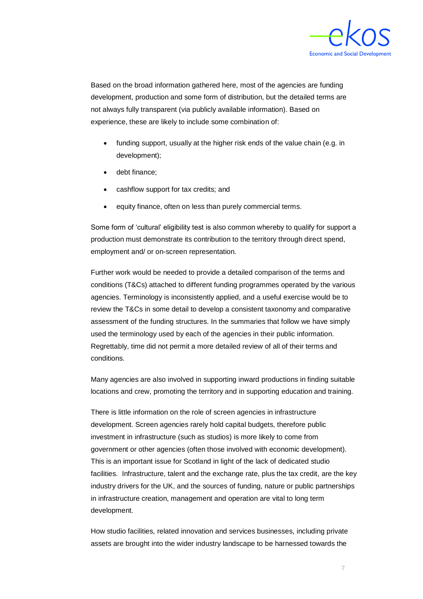

Based on the broad information gathered here, most of the agencies are funding development, production and some form of distribution, but the detailed terms are not always fully transparent (via publicly available information). Based on experience, these are likely to include some combination of:

- funding support, usually at the higher risk ends of the value chain (e.g. in development);
- debt finance;
- cashflow support for tax credits; and
- equity finance, often on less than purely commercial terms.

Some form of 'cultural' eligibility test is also common whereby to qualify for support a production must demonstrate its contribution to the territory through direct spend, employment and/ or on-screen representation.

Further work would be needed to provide a detailed comparison of the terms and conditions (T&Cs) attached to different funding programmes operated by the various agencies. Terminology is inconsistently applied, and a useful exercise would be to review the T&Cs in some detail to develop a consistent taxonomy and comparative assessment of the funding structures. In the summaries that follow we have simply used the terminology used by each of the agencies in their public information. Regrettably, time did not permit a more detailed review of all of their terms and conditions.

Many agencies are also involved in supporting inward productions in finding suitable locations and crew, promoting the territory and in supporting education and training.

There is little information on the role of screen agencies in infrastructure development. Screen agencies rarely hold capital budgets, therefore public investment in infrastructure (such as studios) is more likely to come from government or other agencies (often those involved with economic development). This is an important issue for Scotland in light of the lack of dedicated studio facilities. Infrastructure, talent and the exchange rate, plus the tax credit, are the key industry drivers for the UK, and the sources of funding, nature or public partnerships in infrastructure creation, management and operation are vital to long term development.

How studio facilities, related innovation and services businesses, including private assets are brought into the wider industry landscape to be harnessed towards the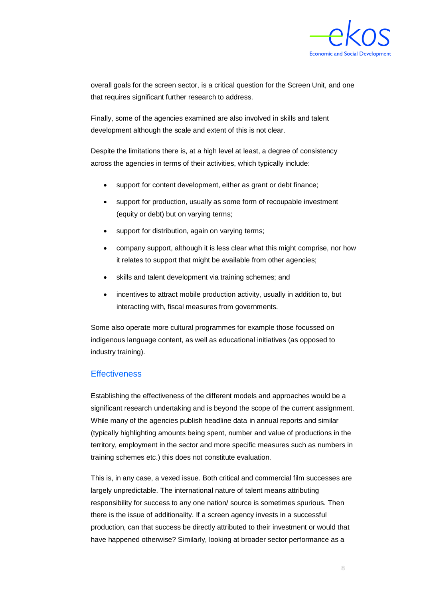

overall goals for the screen sector, is a critical question for the Screen Unit, and one that requires significant further research to address.

Finally, some of the agencies examined are also involved in skills and talent development although the scale and extent of this is not clear.

Despite the limitations there is, at a high level at least, a degree of consistency across the agencies in terms of their activities, which typically include:

- support for content development, either as grant or debt finance;
- support for production, usually as some form of recoupable investment (equity or debt) but on varying terms;
- support for distribution, again on varying terms;
- company support, although it is less clear what this might comprise, nor how it relates to support that might be available from other agencies;
- skills and talent development via training schemes; and
- incentives to attract mobile production activity, usually in addition to, but interacting with, fiscal measures from governments.

Some also operate more cultural programmes for example those focussed on indigenous language content, as well as educational initiatives (as opposed to industry training).

#### **Effectiveness**

Establishing the effectiveness of the different models and approaches would be a significant research undertaking and is beyond the scope of the current assignment. While many of the agencies publish headline data in annual reports and similar (typically highlighting amounts being spent, number and value of productions in the territory, employment in the sector and more specific measures such as numbers in training schemes etc.) this does not constitute evaluation.

This is, in any case, a vexed issue. Both critical and commercial film successes are largely unpredictable. The international nature of talent means attributing responsibility for success to any one nation/ source is sometimes spurious. Then there is the issue of additionality. If a screen agency invests in a successful production, can that success be directly attributed to their investment or would that have happened otherwise? Similarly, looking at broader sector performance as a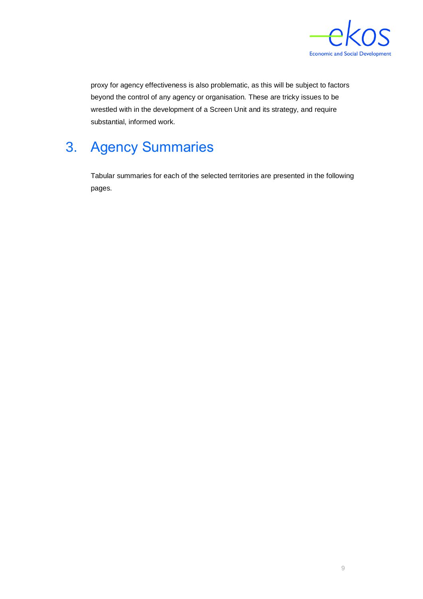

proxy for agency effectiveness is also problematic, as this will be subject to factors beyond the control of any agency or organisation. These are tricky issues to be wrestled with in the development of a Screen Unit and its strategy, and require substantial, informed work.

# <span id="page-11-0"></span>3. Agency Summaries

Tabular summaries for each of the selected territories are presented in the following pages.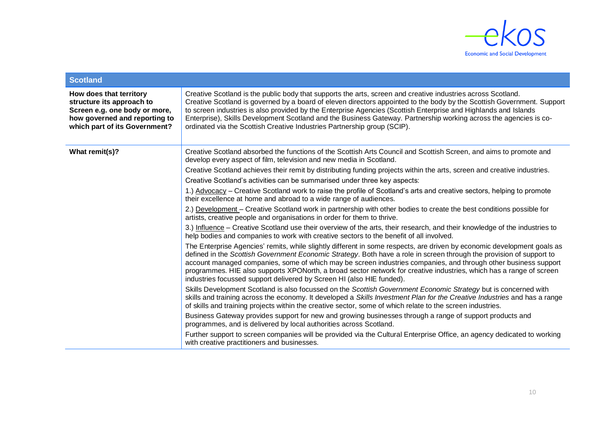

| <b>Scotland</b>                                                                                                                                         |                                                                                                                                                                                                                                                                                                                                                                                                                                                                                                                                                                    |
|---------------------------------------------------------------------------------------------------------------------------------------------------------|--------------------------------------------------------------------------------------------------------------------------------------------------------------------------------------------------------------------------------------------------------------------------------------------------------------------------------------------------------------------------------------------------------------------------------------------------------------------------------------------------------------------------------------------------------------------|
| How does that territory<br>structure its approach to<br>Screen e.g. one body or more,<br>how governed and reporting to<br>which part of its Government? | Creative Scotland is the public body that supports the arts, screen and creative industries across Scotland.<br>Creative Scotland is governed by a board of eleven directors appointed to the body by the Scottish Government. Support<br>to screen industries is also provided by the Enterprise Agencies (Scottish Enterprise and Highlands and Islands<br>Enterprise), Skills Development Scotland and the Business Gateway. Partnership working across the agencies is co-<br>ordinated via the Scottish Creative Industries Partnership group (SCIP).         |
| What remit(s)?                                                                                                                                          | Creative Scotland absorbed the functions of the Scottish Arts Council and Scottish Screen, and aims to promote and<br>develop every aspect of film, television and new media in Scotland.                                                                                                                                                                                                                                                                                                                                                                          |
|                                                                                                                                                         | Creative Scotland achieves their remit by distributing funding projects within the arts, screen and creative industries.<br>Creative Scotland's activities can be summarised under three key aspects:                                                                                                                                                                                                                                                                                                                                                              |
|                                                                                                                                                         | 1.) Advocacy – Creative Scotland work to raise the profile of Scotland's arts and creative sectors, helping to promote<br>their excellence at home and abroad to a wide range of audiences.                                                                                                                                                                                                                                                                                                                                                                        |
|                                                                                                                                                         | 2.) Development – Creative Scotland work in partnership with other bodies to create the best conditions possible for<br>artists, creative people and organisations in order for them to thrive.                                                                                                                                                                                                                                                                                                                                                                    |
|                                                                                                                                                         | 3.) Influence - Creative Scotland use their overview of the arts, their research, and their knowledge of the industries to<br>help bodies and companies to work with creative sectors to the benefit of all involved.                                                                                                                                                                                                                                                                                                                                              |
|                                                                                                                                                         | The Enterprise Agencies' remits, while slightly different in some respects, are driven by economic development goals as<br>defined in the Scottish Government Economic Strategy. Both have a role in screen through the provision of support to<br>account managed companies, some of which may be screen industries companies, and through other business support<br>programmes. HIE also supports XPONorth, a broad sector network for creative industries, which has a range of screen<br>industries focussed support delivered by Screen HI (also HIE funded). |
|                                                                                                                                                         | Skills Development Scotland is also focussed on the Scottish Government Economic Strategy but is concerned with<br>skills and training across the economy. It developed a Skills Investment Plan for the Creative Industries and has a range<br>of skills and training projects within the creative sector, some of which relate to the screen industries.                                                                                                                                                                                                         |
|                                                                                                                                                         | Business Gateway provides support for new and growing businesses through a range of support products and<br>programmes, and is delivered by local authorities across Scotland.                                                                                                                                                                                                                                                                                                                                                                                     |
|                                                                                                                                                         | Further support to screen companies will be provided via the Cultural Enterprise Office, an agency dedicated to working<br>with creative practitioners and businesses.                                                                                                                                                                                                                                                                                                                                                                                             |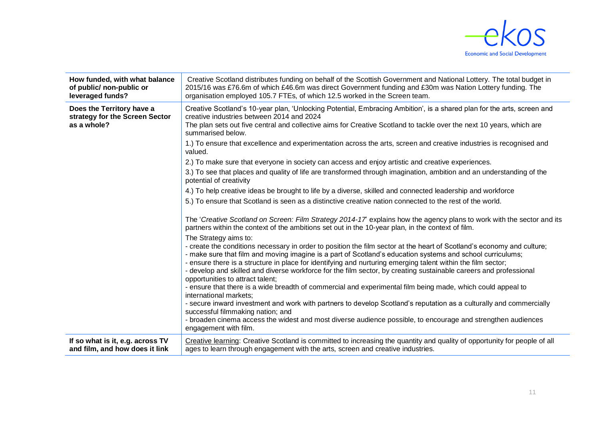

| How funded, with what balance<br>of public/ non-public or<br>leveraged funds? | Creative Scotland distributes funding on behalf of the Scottish Government and National Lottery. The total budget in<br>2015/16 was £76.6m of which £46.6m was direct Government funding and £30m was Nation Lottery funding. The<br>organisation employed 105.7 FTEs, of which 12.5 worked in the Screen team.                                                                                                                                                                                                                                                                                                                                                                                                                                                                                                                                                                                                                                                                                                                                                                                                                                                                                                                                                                                                                                                                                                                                                                                                                                                                                                                                                                                                                                                                                                                                       |
|-------------------------------------------------------------------------------|-------------------------------------------------------------------------------------------------------------------------------------------------------------------------------------------------------------------------------------------------------------------------------------------------------------------------------------------------------------------------------------------------------------------------------------------------------------------------------------------------------------------------------------------------------------------------------------------------------------------------------------------------------------------------------------------------------------------------------------------------------------------------------------------------------------------------------------------------------------------------------------------------------------------------------------------------------------------------------------------------------------------------------------------------------------------------------------------------------------------------------------------------------------------------------------------------------------------------------------------------------------------------------------------------------------------------------------------------------------------------------------------------------------------------------------------------------------------------------------------------------------------------------------------------------------------------------------------------------------------------------------------------------------------------------------------------------------------------------------------------------------------------------------------------------------------------------------------------------|
| Does the Territory have a<br>strategy for the Screen Sector<br>as a whole?    | Creative Scotland's 10-year plan, 'Unlocking Potential, Embracing Ambition', is a shared plan for the arts, screen and<br>creative industries between 2014 and 2024<br>The plan sets out five central and collective aims for Creative Scotland to tackle over the next 10 years, which are<br>summarised below.<br>1.) To ensure that excellence and experimentation across the arts, screen and creative industries is recognised and<br>valued.<br>2.) To make sure that everyone in society can access and enjoy artistic and creative experiences.<br>3.) To see that places and quality of life are transformed through imagination, ambition and an understanding of the<br>potential of creativity<br>4.) To help creative ideas be brought to life by a diverse, skilled and connected leadership and workforce<br>5.) To ensure that Scotland is seen as a distinctive creative nation connected to the rest of the world.<br>The 'Creative Scotland on Screen: Film Strategy 2014-17 explains how the agency plans to work with the sector and its<br>partners within the context of the ambitions set out in the 10-year plan, in the context of film.<br>The Strategy aims to:<br>- create the conditions necessary in order to position the film sector at the heart of Scotland's economy and culture;<br>- make sure that film and moving imagine is a part of Scotland's education systems and school curriculums;<br>- ensure there is a structure in place for identifying and nurturing emerging talent within the film sector;<br>- develop and skilled and diverse workforce for the film sector, by creating sustainable careers and professional<br>opportunities to attract talent;<br>- ensure that there is a wide breadth of commercial and experimental film being made, which could appeal to<br>international markets; |
|                                                                               | - secure inward investment and work with partners to develop Scotland's reputation as a culturally and commercially<br>successful filmmaking nation; and<br>- broaden cinema access the widest and most diverse audience possible, to encourage and strengthen audiences<br>engagement with film.                                                                                                                                                                                                                                                                                                                                                                                                                                                                                                                                                                                                                                                                                                                                                                                                                                                                                                                                                                                                                                                                                                                                                                                                                                                                                                                                                                                                                                                                                                                                                     |
| If so what is it, e.g. across TV<br>and film, and how does it link            | Creative learning: Creative Scotland is committed to increasing the quantity and quality of opportunity for people of all<br>ages to learn through engagement with the arts, screen and creative industries.                                                                                                                                                                                                                                                                                                                                                                                                                                                                                                                                                                                                                                                                                                                                                                                                                                                                                                                                                                                                                                                                                                                                                                                                                                                                                                                                                                                                                                                                                                                                                                                                                                          |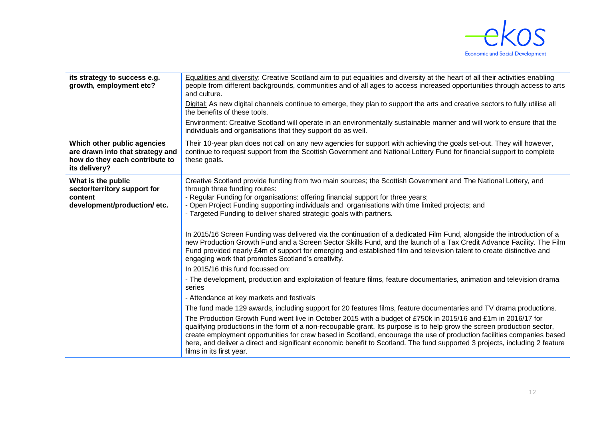

| its strategy to success e.g.<br>growth, employment etc?                                                            | Equalities and diversity: Creative Scotland aim to put equalities and diversity at the heart of all their activities enabling<br>people from different backgrounds, communities and of all ages to access increased opportunities through access to arts<br>and culture.                                                                                                                                                                                                                                                      |
|--------------------------------------------------------------------------------------------------------------------|-------------------------------------------------------------------------------------------------------------------------------------------------------------------------------------------------------------------------------------------------------------------------------------------------------------------------------------------------------------------------------------------------------------------------------------------------------------------------------------------------------------------------------|
|                                                                                                                    | Digital: As new digital channels continue to emerge, they plan to support the arts and creative sectors to fully utilise all<br>the benefits of these tools.                                                                                                                                                                                                                                                                                                                                                                  |
|                                                                                                                    | Environment: Creative Scotland will operate in an environmentally sustainable manner and will work to ensure that the<br>individuals and organisations that they support do as well.                                                                                                                                                                                                                                                                                                                                          |
| Which other public agencies<br>are drawn into that strategy and<br>how do they each contribute to<br>its delivery? | Their 10-year plan does not call on any new agencies for support with achieving the goals set-out. They will however,<br>continue to request support from the Scottish Government and National Lottery Fund for financial support to complete<br>these goals.                                                                                                                                                                                                                                                                 |
| What is the public<br>sector/territory support for<br>content<br>development/production/etc.                       | Creative Scotland provide funding from two main sources; the Scottish Government and The National Lottery, and<br>through three funding routes:<br>- Regular Funding for organisations: offering financial support for three years;<br>- Open Project Funding supporting individuals and organisations with time limited projects; and<br>- Targeted Funding to deliver shared strategic goals with partners.                                                                                                                 |
|                                                                                                                    | In 2015/16 Screen Funding was delivered via the continuation of a dedicated Film Fund, alongside the introduction of a<br>new Production Growth Fund and a Screen Sector Skills Fund, and the launch of a Tax Credit Advance Facility. The Film<br>Fund provided nearly £4m of support for emerging and established film and television talent to create distinctive and<br>engaging work that promotes Scotland's creativity.<br>In 2015/16 this fund focussed on:                                                           |
|                                                                                                                    | - The development, production and exploitation of feature films, feature documentaries, animation and television drama<br>series                                                                                                                                                                                                                                                                                                                                                                                              |
|                                                                                                                    | - Attendance at key markets and festivals                                                                                                                                                                                                                                                                                                                                                                                                                                                                                     |
|                                                                                                                    | The fund made 129 awards, including support for 20 features films, feature documentaries and TV drama productions.                                                                                                                                                                                                                                                                                                                                                                                                            |
|                                                                                                                    | The Production Growth Fund went live in October 2015 with a budget of £750k in 2015/16 and £1m in 2016/17 for<br>qualifying productions in the form of a non-recoupable grant. Its purpose is to help grow the screen production sector,<br>create employment opportunities for crew based in Scotland, encourage the use of production facilities companies based<br>here, and deliver a direct and significant economic benefit to Scotland. The fund supported 3 projects, including 2 feature<br>films in its first year. |
|                                                                                                                    |                                                                                                                                                                                                                                                                                                                                                                                                                                                                                                                               |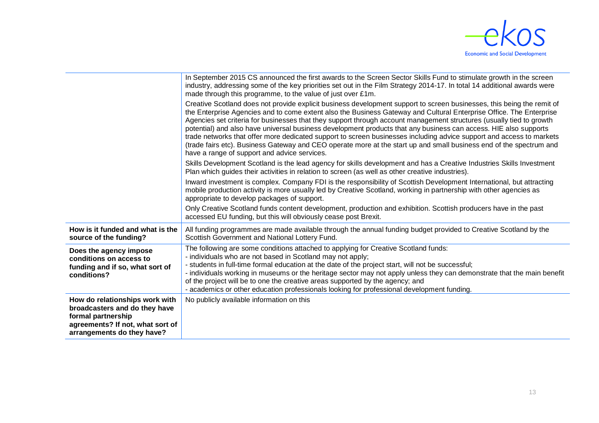

|                                                                                                                                                         | In September 2015 CS announced the first awards to the Screen Sector Skills Fund to stimulate growth in the screen<br>industry, addressing some of the key priorities set out in the Film Strategy 2014-17. In total 14 additional awards were<br>made through this programme, to the value of just over £1m.                                                                                                                                                                                                                                                                                                                                                                                                                                                                            |
|---------------------------------------------------------------------------------------------------------------------------------------------------------|------------------------------------------------------------------------------------------------------------------------------------------------------------------------------------------------------------------------------------------------------------------------------------------------------------------------------------------------------------------------------------------------------------------------------------------------------------------------------------------------------------------------------------------------------------------------------------------------------------------------------------------------------------------------------------------------------------------------------------------------------------------------------------------|
|                                                                                                                                                         | Creative Scotland does not provide explicit business development support to screen businesses, this being the remit of<br>the Enterprise Agencies and to come extent also the Business Gateway and Cultural Enterprise Office. The Enterprise<br>Agencies set criteria for businesses that they support through account management structures (usually tied to growth<br>potential) and also have universal business development products that any business can access. HIE also supports<br>trade networks that offer more dedicated support to screen businesses including advice support and access to markets<br>(trade fairs etc). Business Gateway and CEO operate more at the start up and small business end of the spectrum and<br>have a range of support and advice services. |
|                                                                                                                                                         | Skills Development Scotland is the lead agency for skills development and has a Creative Industries Skills Investment<br>Plan which guides their activities in relation to screen (as well as other creative industries).                                                                                                                                                                                                                                                                                                                                                                                                                                                                                                                                                                |
|                                                                                                                                                         | Inward investment is complex. Company FDI is the responsibility of Scottish Development International, but attracting<br>mobile production activity is more usually led by Creative Scotland, working in partnership with other agencies as<br>appropriate to develop packages of support.                                                                                                                                                                                                                                                                                                                                                                                                                                                                                               |
|                                                                                                                                                         | Only Creative Scotland funds content development, production and exhibition. Scottish producers have in the past<br>accessed EU funding, but this will obviously cease post Brexit.                                                                                                                                                                                                                                                                                                                                                                                                                                                                                                                                                                                                      |
| How is it funded and what is the<br>source of the funding?                                                                                              | All funding programmes are made available through the annual funding budget provided to Creative Scotland by the<br>Scottish Government and National Lottery Fund.                                                                                                                                                                                                                                                                                                                                                                                                                                                                                                                                                                                                                       |
| Does the agency impose<br>conditions on access to<br>funding and if so, what sort of<br>conditions?                                                     | The following are some conditions attached to applying for Creative Scotland funds:<br>- individuals who are not based in Scotland may not apply;<br>- students in full-time formal education at the date of the project start, will not be successful;<br>- individuals working in museums or the heritage sector may not apply unless they can demonstrate that the main benefit<br>of the project will be to one the creative areas supported by the agency; and<br>- academics or other education professionals looking for professional development funding.                                                                                                                                                                                                                        |
| How do relationships work with<br>broadcasters and do they have<br>formal partnership<br>agreements? If not, what sort of<br>arrangements do they have? | No publicly available information on this                                                                                                                                                                                                                                                                                                                                                                                                                                                                                                                                                                                                                                                                                                                                                |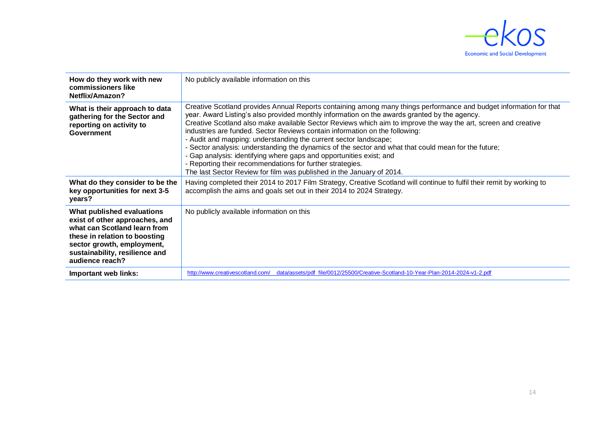

| How do they work with new<br>commissioners like<br>Netflix/Amazon?                                                                                                                                               | No publicly available information on this                                                                                                                                                                                                                                                                                                                                                                                                                                                                                                                                                                                                                                                                                                                                                                    |
|------------------------------------------------------------------------------------------------------------------------------------------------------------------------------------------------------------------|--------------------------------------------------------------------------------------------------------------------------------------------------------------------------------------------------------------------------------------------------------------------------------------------------------------------------------------------------------------------------------------------------------------------------------------------------------------------------------------------------------------------------------------------------------------------------------------------------------------------------------------------------------------------------------------------------------------------------------------------------------------------------------------------------------------|
| What is their approach to data<br>gathering for the Sector and<br>reporting on activity to<br><b>Government</b>                                                                                                  | Creative Scotland provides Annual Reports containing among many things performance and budget information for that<br>year. Award Listing's also provided monthly information on the awards granted by the agency.<br>Creative Scotland also make available Sector Reviews which aim to improve the way the art, screen and creative<br>industries are funded. Sector Reviews contain information on the following:<br>- Audit and mapping: understanding the current sector landscape;<br>- Sector analysis: understanding the dynamics of the sector and what that could mean for the future;<br>- Gap analysis: identifying where gaps and opportunities exist; and<br>- Reporting their recommendations for further strategies.<br>The last Sector Review for film was published in the January of 2014. |
| What do they consider to be the<br>key opportunities for next 3-5<br>years?                                                                                                                                      | Having completed their 2014 to 2017 Film Strategy, Creative Scotland will continue to fulfil their remit by working to<br>accomplish the aims and goals set out in their 2014 to 2024 Strategy.                                                                                                                                                                                                                                                                                                                                                                                                                                                                                                                                                                                                              |
| What published evaluations<br>exist of other approaches, and<br>what can Scotland learn from<br>these in relation to boosting<br>sector growth, employment,<br>sustainability, resilience and<br>audience reach? | No publicly available information on this                                                                                                                                                                                                                                                                                                                                                                                                                                                                                                                                                                                                                                                                                                                                                                    |
| Important web links:                                                                                                                                                                                             | http://www.creativescotland.com/ data/assets/pdf file/0012/25500/Creative-Scotland-10-Year-Plan-2014-2024-v1-2.pdf                                                                                                                                                                                                                                                                                                                                                                                                                                                                                                                                                                                                                                                                                           |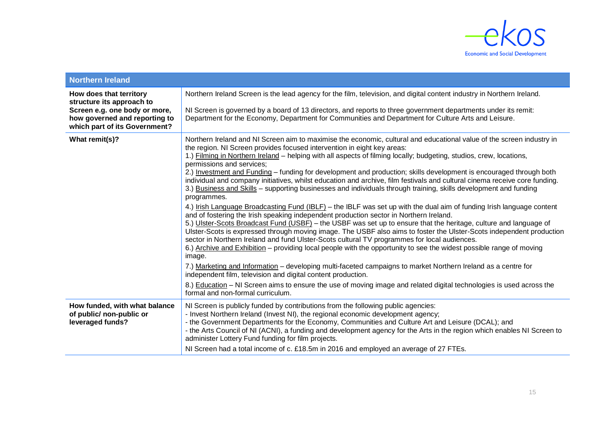

| <b>Northern Ireland</b>                                                                                                                                 |                                                                                                                                                                                                                                                                                                                                                                                                                                                                                                                                                                                                                                                                                                                                                                                                                                                                                                                                                                                                                                                                                                                                                                                                                                                                                                                                                                                                                                                                                                                                                                                                                                                                                                                                                                                            |  |
|---------------------------------------------------------------------------------------------------------------------------------------------------------|--------------------------------------------------------------------------------------------------------------------------------------------------------------------------------------------------------------------------------------------------------------------------------------------------------------------------------------------------------------------------------------------------------------------------------------------------------------------------------------------------------------------------------------------------------------------------------------------------------------------------------------------------------------------------------------------------------------------------------------------------------------------------------------------------------------------------------------------------------------------------------------------------------------------------------------------------------------------------------------------------------------------------------------------------------------------------------------------------------------------------------------------------------------------------------------------------------------------------------------------------------------------------------------------------------------------------------------------------------------------------------------------------------------------------------------------------------------------------------------------------------------------------------------------------------------------------------------------------------------------------------------------------------------------------------------------------------------------------------------------------------------------------------------------|--|
| How does that territory<br>structure its approach to<br>Screen e.g. one body or more,<br>how governed and reporting to<br>which part of its Government? | Northern Ireland Screen is the lead agency for the film, television, and digital content industry in Northern Ireland.<br>NI Screen is governed by a board of 13 directors, and reports to three government departments under its remit:<br>Department for the Economy, Department for Communities and Department for Culture Arts and Leisure.                                                                                                                                                                                                                                                                                                                                                                                                                                                                                                                                                                                                                                                                                                                                                                                                                                                                                                                                                                                                                                                                                                                                                                                                                                                                                                                                                                                                                                            |  |
| What remit(s)?                                                                                                                                          | Northern Ireland and NI Screen aim to maximise the economic, cultural and educational value of the screen industry in<br>the region. NI Screen provides focused intervention in eight key areas:<br>1.) Filming in Northern Ireland – helping with all aspects of filming locally; budgeting, studios, crew, locations,<br>permissions and services;<br>2.) Investment and Funding - funding for development and production; skills development is encouraged through both<br>individual and company initiatives, whilst education and archive, film festivals and cultural cinema receive core funding.<br>3.) Business and Skills - supporting businesses and individuals through training, skills development and funding<br>programmes.<br>4.) Irish Language Broadcasting Fund (IBLF) – the IBLF was set up with the dual aim of funding Irish language content<br>and of fostering the Irish speaking independent production sector in Northern Ireland.<br>5.) Ulster-Scots Broadcast Fund (USBF) – the USBF was set up to ensure that the heritage, culture and language of<br>Ulster-Scots is expressed through moving image. The USBF also aims to foster the Ulster-Scots independent production<br>sector in Northern Ireland and fund Ulster-Scots cultural TV programmes for local audiences.<br>6.) Archive and Exhibition - providing local people with the opportunity to see the widest possible range of moving<br>image.<br>7.) Marketing and Information – developing multi-faceted campaigns to market Northern Ireland as a centre for<br>independent film, television and digital content production.<br>8.) Education – NI Screen aims to ensure the use of moving image and related digital technologies is used across the<br>formal and non-formal curriculum. |  |
| How funded, with what balance<br>of public/ non-public or<br>leveraged funds?                                                                           | NI Screen is publicly funded by contributions from the following public agencies:<br>- Invest Northern Ireland (Invest NI), the regional economic development agency;<br>- the Government Departments for the Economy, Communities and Culture Art and Leisure (DCAL); and<br>- the Arts Council of NI (ACNI), a funding and development agency for the Arts in the region which enables NI Screen to<br>administer Lottery Fund funding for film projects.<br>NI Screen had a total income of c. £18.5m in 2016 and employed an average of 27 FTEs.                                                                                                                                                                                                                                                                                                                                                                                                                                                                                                                                                                                                                                                                                                                                                                                                                                                                                                                                                                                                                                                                                                                                                                                                                                       |  |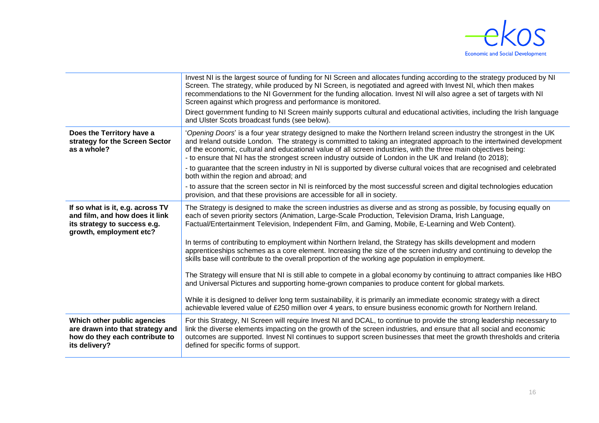

|                                                                                                                               | Invest NI is the largest source of funding for NI Screen and allocates funding according to the strategy produced by NI<br>Screen. The strategy, while produced by NI Screen, is negotiated and agreed with Invest NI, which then makes<br>recommendations to the NI Government for the funding allocation. Invest NI will also agree a set of targets with NI<br>Screen against which progress and performance is monitored.<br>Direct government funding to NI Screen mainly supports cultural and educational activities, including the Irish language<br>and Ulster Scots broadcast funds (see below). |
|-------------------------------------------------------------------------------------------------------------------------------|------------------------------------------------------------------------------------------------------------------------------------------------------------------------------------------------------------------------------------------------------------------------------------------------------------------------------------------------------------------------------------------------------------------------------------------------------------------------------------------------------------------------------------------------------------------------------------------------------------|
|                                                                                                                               |                                                                                                                                                                                                                                                                                                                                                                                                                                                                                                                                                                                                            |
| Does the Territory have a<br>strategy for the Screen Sector<br>as a whole?                                                    | 'Opening Doors' is a four year strategy designed to make the Northern Ireland screen industry the strongest in the UK<br>and Ireland outside London. The strategy is committed to taking an integrated approach to the intertwined development<br>of the economic, cultural and educational value of all screen industries, with the three main objectives being:<br>- to ensure that NI has the strongest screen industry outside of London in the UK and Ireland (to 2018);                                                                                                                              |
|                                                                                                                               | - to guarantee that the screen industry in NI is supported by diverse cultural voices that are recognised and celebrated<br>both within the region and abroad; and                                                                                                                                                                                                                                                                                                                                                                                                                                         |
|                                                                                                                               | - to assure that the screen sector in NI is reinforced by the most successful screen and digital technologies education<br>provision, and that these provisions are accessible for all in society.                                                                                                                                                                                                                                                                                                                                                                                                         |
| If so what is it, e.g. across TV<br>and film, and how does it link<br>its strategy to success e.g.<br>growth, employment etc? | The Strategy is designed to make the screen industries as diverse and as strong as possible, by focusing equally on<br>each of seven priority sectors (Animation, Large-Scale Production, Television Drama, Irish Language,<br>Factual/Entertainment Television, Independent Film, and Gaming, Mobile, E-Learning and Web Content).                                                                                                                                                                                                                                                                        |
|                                                                                                                               | In terms of contributing to employment within Northern Ireland, the Strategy has skills development and modern<br>apprenticeships schemes as a core element. Increasing the size of the screen industry and continuing to develop the<br>skills base will contribute to the overall proportion of the working age population in employment.                                                                                                                                                                                                                                                                |
|                                                                                                                               | The Strategy will ensure that NI is still able to compete in a global economy by continuing to attract companies like HBO<br>and Universal Pictures and supporting home-grown companies to produce content for global markets.                                                                                                                                                                                                                                                                                                                                                                             |
|                                                                                                                               | While it is designed to deliver long term sustainability, it is primarily an immediate economic strategy with a direct<br>achievable levered value of £250 million over 4 years, to ensure business economic growth for Northern Ireland.                                                                                                                                                                                                                                                                                                                                                                  |
| Which other public agencies<br>are drawn into that strategy and<br>how do they each contribute to<br>its delivery?            | For this Strategy, NI Screen will require Invest NI and DCAL, to continue to provide the strong leadership necessary to<br>link the diverse elements impacting on the growth of the screen industries, and ensure that all social and economic<br>outcomes are supported. Invest NI continues to support screen businesses that meet the growth thresholds and criteria<br>defined for specific forms of support.                                                                                                                                                                                          |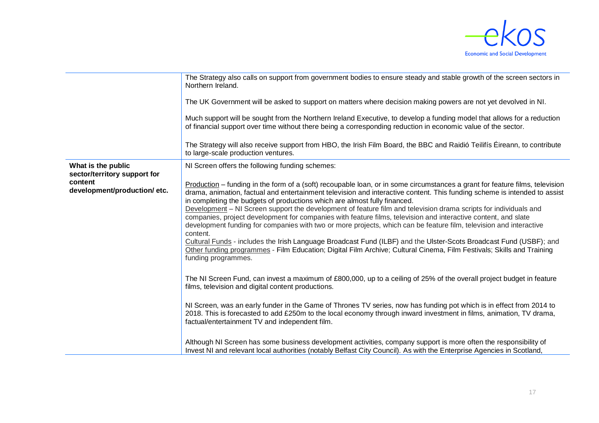

|                                                    | The Strategy also calls on support from government bodies to ensure steady and stable growth of the screen sectors in<br>Northern Ireland.                                                                                                                                                                                                                                                                                                                                                                                                                                                                                                                                                                                                                                                                                           |
|----------------------------------------------------|--------------------------------------------------------------------------------------------------------------------------------------------------------------------------------------------------------------------------------------------------------------------------------------------------------------------------------------------------------------------------------------------------------------------------------------------------------------------------------------------------------------------------------------------------------------------------------------------------------------------------------------------------------------------------------------------------------------------------------------------------------------------------------------------------------------------------------------|
|                                                    | The UK Government will be asked to support on matters where decision making powers are not yet devolved in NI.                                                                                                                                                                                                                                                                                                                                                                                                                                                                                                                                                                                                                                                                                                                       |
|                                                    | Much support will be sought from the Northern Ireland Executive, to develop a funding model that allows for a reduction<br>of financial support over time without there being a corresponding reduction in economic value of the sector.                                                                                                                                                                                                                                                                                                                                                                                                                                                                                                                                                                                             |
|                                                    | The Strategy will also receive support from HBO, the Irish Film Board, the BBC and Raidió Teilifís Éireann, to contribute<br>to large-scale production ventures.                                                                                                                                                                                                                                                                                                                                                                                                                                                                                                                                                                                                                                                                     |
| What is the public<br>sector/territory support for | NI Screen offers the following funding schemes:                                                                                                                                                                                                                                                                                                                                                                                                                                                                                                                                                                                                                                                                                                                                                                                      |
| content<br>development/production/etc.             | Production – funding in the form of a (soft) recoupable loan, or in some circumstances a grant for feature films, television<br>drama, animation, factual and entertainment television and interactive content. This funding scheme is intended to assist<br>in completing the budgets of productions which are almost fully financed.<br>Development – NI Screen support the development of feature film and television drama scripts for individuals and<br>companies, project development for companies with feature films, television and interactive content, and slate<br>development funding for companies with two or more projects, which can be feature film, television and interactive<br>content.<br>Cultural Funds - includes the Irish Language Broadcast Fund (ILBF) and the Ulster-Scots Broadcast Fund (USBF); and |
|                                                    | Other funding programmes - Film Education; Digital Film Archive; Cultural Cinema, Film Festivals; Skills and Training<br>funding programmes.                                                                                                                                                                                                                                                                                                                                                                                                                                                                                                                                                                                                                                                                                         |
|                                                    | The NI Screen Fund, can invest a maximum of £800,000, up to a ceiling of 25% of the overall project budget in feature<br>films, television and digital content productions.                                                                                                                                                                                                                                                                                                                                                                                                                                                                                                                                                                                                                                                          |
|                                                    | NI Screen, was an early funder in the Game of Thrones TV series, now has funding pot which is in effect from 2014 to<br>2018. This is forecasted to add £250m to the local economy through inward investment in films, animation, TV drama,<br>factual/entertainment TV and independent film.                                                                                                                                                                                                                                                                                                                                                                                                                                                                                                                                        |
|                                                    | Although NI Screen has some business development activities, company support is more often the responsibility of<br>Invest NI and relevant local authorities (notably Belfast City Council). As with the Enterprise Agencies in Scotland,                                                                                                                                                                                                                                                                                                                                                                                                                                                                                                                                                                                            |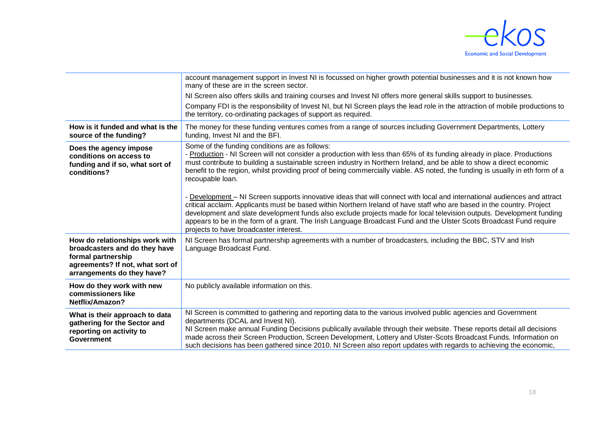

|                                                                                                                                                         | account management support in Invest NI is focussed on higher growth potential businesses and it is not known how<br>many of these are in the screen sector.                                                                                                                                                                                                                                                                                                                                                                                |
|---------------------------------------------------------------------------------------------------------------------------------------------------------|---------------------------------------------------------------------------------------------------------------------------------------------------------------------------------------------------------------------------------------------------------------------------------------------------------------------------------------------------------------------------------------------------------------------------------------------------------------------------------------------------------------------------------------------|
|                                                                                                                                                         | NI Screen also offers skills and training courses and Invest NI offers more general skills support to businesses.                                                                                                                                                                                                                                                                                                                                                                                                                           |
|                                                                                                                                                         | Company FDI is the responsibility of Invest NI, but NI Screen plays the lead role in the attraction of mobile productions to<br>the territory, co-ordinating packages of support as required.                                                                                                                                                                                                                                                                                                                                               |
| How is it funded and what is the<br>source of the funding?                                                                                              | The money for these funding ventures comes from a range of sources including Government Departments, Lottery<br>funding, Invest NI and the BFI.                                                                                                                                                                                                                                                                                                                                                                                             |
| Does the agency impose<br>conditions on access to<br>funding and if so, what sort of<br>conditions?                                                     | Some of the funding conditions are as follows:<br>- Production - NI Screen will not consider a production with less than 65% of its funding already in place. Productions<br>must contribute to building a sustainable screen industry in Northern Ireland, and be able to show a direct economic<br>benefit to the region, whilst providing proof of being commercially viable. AS noted, the funding is usually in eth form of a<br>recoupable loan.                                                                                      |
|                                                                                                                                                         | - Development - NI Screen supports innovative ideas that will connect with local and international audiences and attract<br>critical acclaim. Applicants must be based within Northern Ireland of have staff who are based in the country. Project<br>development and slate development funds also exclude projects made for local television outputs. Development funding<br>appears to be in the form of a grant. The Irish Language Broadcast Fund and the Ulster Scots Broadcast Fund require<br>projects to have broadcaster interest. |
| How do relationships work with<br>broadcasters and do they have<br>formal partnership<br>agreements? If not, what sort of<br>arrangements do they have? | NI Screen has formal partnership agreements with a number of broadcasters, including the BBC, STV and Irish<br>Language Broadcast Fund.                                                                                                                                                                                                                                                                                                                                                                                                     |
| How do they work with new<br>commissioners like<br>Netflix/Amazon?                                                                                      | No publicly available information on this.                                                                                                                                                                                                                                                                                                                                                                                                                                                                                                  |
| What is their approach to data<br>gathering for the Sector and<br>reporting on activity to<br><b>Government</b>                                         | NI Screen is committed to gathering and reporting data to the various involved public agencies and Government<br>departments (DCAL and Invest NI).<br>NI Screen make annual Funding Decisions publically available through their website. These reports detail all decisions<br>made across their Screen Production, Screen Development, Lottery and Ulster-Scots Broadcast Funds. Information on<br>such decisions has been gathered since 2010. NI Screen also report updates with regards to achieving the economic,                     |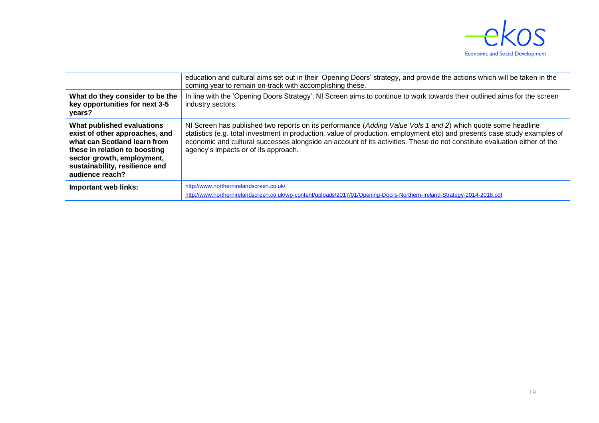

|                                                                                                                                                                                                                  | education and cultural aims set out in their 'Opening Doors' strategy, and provide the actions which will be taken in the<br>coming year to remain on-track with accomplishing these.                                                                                                                                                                                                                         |
|------------------------------------------------------------------------------------------------------------------------------------------------------------------------------------------------------------------|---------------------------------------------------------------------------------------------------------------------------------------------------------------------------------------------------------------------------------------------------------------------------------------------------------------------------------------------------------------------------------------------------------------|
| What do they consider to be the<br>key opportunities for next 3-5<br>vears?                                                                                                                                      | In line with the 'Opening Doors Strategy', NI Screen aims to continue to work towards their outlined aims for the screen<br>industry sectors.                                                                                                                                                                                                                                                                 |
| What published evaluations<br>exist of other approaches, and<br>what can Scotland learn from<br>these in relation to boosting<br>sector growth, employment,<br>sustainability, resilience and<br>audience reach? | NI Screen has published two reports on its performance (Adding Value Vols 1 and 2) which quote some headline<br>statistics (e.g. total investment in production, value of production, employment etc) and presents case study examples of<br>economic and cultural successes alongside an account of its activities. These do not constitute evaluation either of the<br>agency's impacts or of its approach. |
| Important web links:                                                                                                                                                                                             | http://www.northernirelandscreen.co.uk/                                                                                                                                                                                                                                                                                                                                                                       |
|                                                                                                                                                                                                                  | http://www.northernirelandscreen.co.uk/wp-content/uploads/2017/01/Opening-Doors-Northern-Ireland-Strategy-2014-2018.pdf                                                                                                                                                                                                                                                                                       |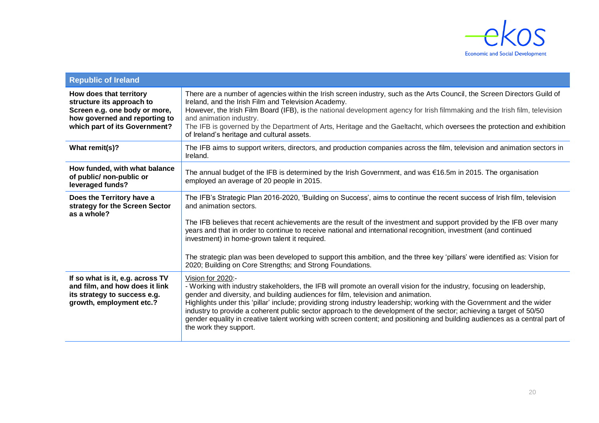

| <b>Republic of Ireland</b>                                                                                                                              |                                                                                                                                                                                                                                                                                                                                                                                                                                                                                                                                                                                                                                            |
|---------------------------------------------------------------------------------------------------------------------------------------------------------|--------------------------------------------------------------------------------------------------------------------------------------------------------------------------------------------------------------------------------------------------------------------------------------------------------------------------------------------------------------------------------------------------------------------------------------------------------------------------------------------------------------------------------------------------------------------------------------------------------------------------------------------|
| How does that territory<br>structure its approach to<br>Screen e.g. one body or more,<br>how governed and reporting to<br>which part of its Government? | There are a number of agencies within the Irish screen industry, such as the Arts Council, the Screen Directors Guild of<br>Ireland, and the Irish Film and Television Academy.<br>However, the Irish Film Board (IFB), is the national development agency for Irish filmmaking and the Irish film, television<br>and animation industry.<br>The IFB is governed by the Department of Arts, Heritage and the Gaeltacht, which oversees the protection and exhibition<br>of Ireland's heritage and cultural assets.                                                                                                                         |
| What remit(s)?                                                                                                                                          | The IFB aims to support writers, directors, and production companies across the film, television and animation sectors in<br>Ireland.                                                                                                                                                                                                                                                                                                                                                                                                                                                                                                      |
| How funded, with what balance<br>of public/ non-public or<br>leveraged funds?                                                                           | The annual budget of the IFB is determined by the Irish Government, and was €16.5m in 2015. The organisation<br>employed an average of 20 people in 2015.                                                                                                                                                                                                                                                                                                                                                                                                                                                                                  |
| Does the Territory have a<br>strategy for the Screen Sector<br>as a whole?                                                                              | The IFB's Strategic Plan 2016-2020, 'Building on Success', aims to continue the recent success of Irish film, television<br>and animation sectors.<br>The IFB believes that recent achievements are the result of the investment and support provided by the IFB over many<br>years and that in order to continue to receive national and international recognition, investment (and continued<br>investment) in home-grown talent it required.<br>The strategic plan was been developed to support this ambition, and the three key 'pillars' were identified as: Vision for<br>2020; Building on Core Strengths; and Strong Foundations. |
| If so what is it, e.g. across TV<br>and film, and how does it link<br>its strategy to success e.g.<br>growth, employment etc.?                          | Vision for 2020:-<br>- Working with industry stakeholders, the IFB will promote an overall vision for the industry, focusing on leadership,<br>gender and diversity, and building audiences for film, television and animation.<br>Highlights under this 'pillar' include; providing strong industry leadership; working with the Government and the wider<br>industry to provide a coherent public sector approach to the development of the sector; achieving a target of 50/50<br>gender equality in creative talent working with screen content; and positioning and building audiences as a central part of<br>the work they support. |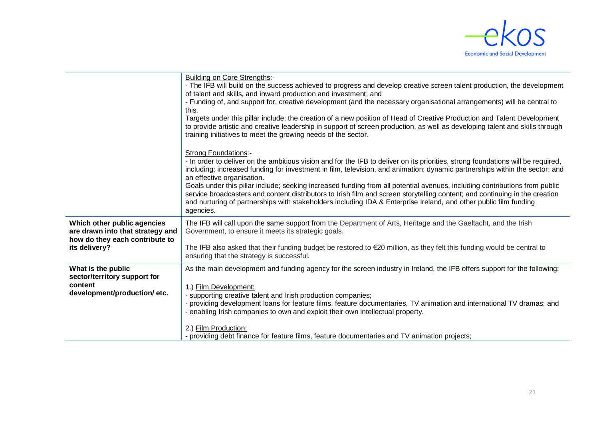

|                                                                                                                    | <b>Building on Core Strengths:-</b><br>- The IFB will build on the success achieved to progress and develop creative screen talent production, the development<br>of talent and skills, and inward production and investment; and<br>- Funding of, and support for, creative development (and the necessary organisational arrangements) will be central to<br>this.<br>Targets under this pillar include; the creation of a new position of Head of Creative Production and Talent Development<br>to provide artistic and creative leadership in support of screen production, as well as developing talent and skills through<br>training initiatives to meet the growing needs of the sector.                            |
|--------------------------------------------------------------------------------------------------------------------|-----------------------------------------------------------------------------------------------------------------------------------------------------------------------------------------------------------------------------------------------------------------------------------------------------------------------------------------------------------------------------------------------------------------------------------------------------------------------------------------------------------------------------------------------------------------------------------------------------------------------------------------------------------------------------------------------------------------------------|
|                                                                                                                    | <b>Strong Foundations:-</b><br>- In order to deliver on the ambitious vision and for the IFB to deliver on its priorities, strong foundations will be required,<br>including; increased funding for investment in film, television, and animation; dynamic partnerships within the sector; and<br>an effective organisation.<br>Goals under this pillar include; seeking increased funding from all potential avenues, including contributions from public<br>service broadcasters and content distributors to Irish film and screen storytelling content; and continuing in the creation<br>and nurturing of partnerships with stakeholders including IDA & Enterprise Ireland, and other public film funding<br>agencies. |
| Which other public agencies<br>are drawn into that strategy and<br>how do they each contribute to<br>its delivery? | The IFB will call upon the same support from the Department of Arts, Heritage and the Gaeltacht, and the Irish<br>Government, to ensure it meets its strategic goals.<br>The IFB also asked that their funding budget be restored to $\epsilon$ 20 million, as they felt this funding would be central to<br>ensuring that the strategy is successful.                                                                                                                                                                                                                                                                                                                                                                      |
| What is the public<br>sector/territory support for<br>content<br>development/production/etc.                       | As the main development and funding agency for the screen industry in Ireland, the IFB offers support for the following:<br>1.) Film Development:<br>- supporting creative talent and Irish production companies;<br>- providing development loans for feature films, feature documentaries, TV animation and international TV dramas; and<br>- enabling Irish companies to own and exploit their own intellectual property.<br>2.) Film Production:<br>- providing debt finance for feature films, feature documentaries and TV animation projects;                                                                                                                                                                        |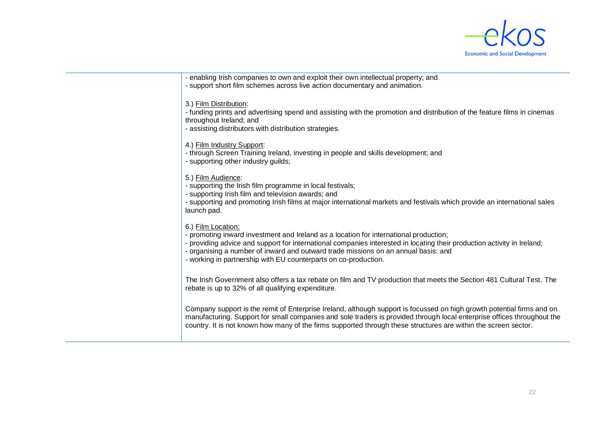

- enabling Irish companies to own and exploit their own intellectual property; and - support short film schemes across live action documentary and animation.

3.) Film Distribution:

- funding prints and advertising spend and assisting with the promotion and distribution of the feature films in cinemas throughout Ireland; and

- assisting distributors with distribution strategies.

4.) Film Industry Support:

- through Screen Training Ireland, investing in people and skills development; and

- supporting other industry guilds;

5.) Film Audience:

- supporting the Irish film programme in local festivals;

- supporting Irish film and television awards; and

- supporting and promoting Irish films at major international markets and festivals which provide an international sales launch pad.

6.) Film Location:

- promoting inward investment and Ireland as a location for international production;

- providing advice and support for international companies interested in locating their production activity in Ireland;

- organising a number of inward and outward trade missions on an annual basis: and

- working in partnership with EU counterparts on co-production.

The Irish Government also offers a tax rebate on film and TV production that meets the Section 481 Cultural Test. The rebate is up to 32% of all qualifying expenditure.

Company support is the remit of Enterprise Ireland, although support is focussed on high growth potential firms and on manufacturing. Support for small companies and sole traders is provided through local enterprise offices throughout the country. It is not known how many of the firms supported through these structures are within the screen sector.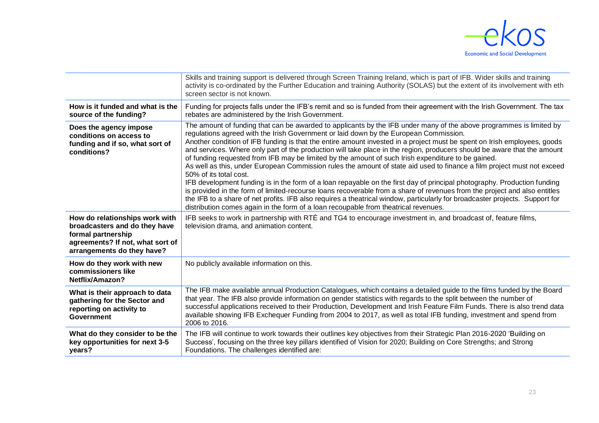

|                                                                                                                                       | Skills and training support is delivered through Screen Training Ireland, which is part of IFB. Wider skills and training<br>activity is co-ordinated by the Further Education and training Authority (SOLAS) but the extent of its involvement with eth<br>screen sector is not known.                                                                                                                                                                                                                                                                                                                                                                                                                                                                                                                                                                                                                                                                                                                                                                                                                                                                                                                                                                                                                                           |
|---------------------------------------------------------------------------------------------------------------------------------------|-----------------------------------------------------------------------------------------------------------------------------------------------------------------------------------------------------------------------------------------------------------------------------------------------------------------------------------------------------------------------------------------------------------------------------------------------------------------------------------------------------------------------------------------------------------------------------------------------------------------------------------------------------------------------------------------------------------------------------------------------------------------------------------------------------------------------------------------------------------------------------------------------------------------------------------------------------------------------------------------------------------------------------------------------------------------------------------------------------------------------------------------------------------------------------------------------------------------------------------------------------------------------------------------------------------------------------------|
| How is it funded and what is the<br>source of the funding?                                                                            | Funding for projects falls under the IFB's remit and so is funded from their agreement with the Irish Government. The tax<br>rebates are administered by the Irish Government.                                                                                                                                                                                                                                                                                                                                                                                                                                                                                                                                                                                                                                                                                                                                                                                                                                                                                                                                                                                                                                                                                                                                                    |
| Does the agency impose<br>conditions on access to<br>funding and if so, what sort of<br>conditions?<br>How do relationships work with | The amount of funding that can be awarded to applicants by the IFB under many of the above programmes is limited by<br>regulations agreed with the Irish Government or laid down by the European Commission.<br>Another condition of IFB funding is that the entire amount invested in a project must be spent on Irish employees, goods<br>and services. Where only part of the production will take place in the region, producers should be aware that the amount<br>of funding requested from IFB may be limited by the amount of such Irish expenditure to be gained.<br>As well as this, under European Commission rules the amount of state aid used to finance a film project must not exceed<br>50% of its total cost.<br>IFB development funding is in the form of a loan repayable on the first day of principal photography. Production funding<br>is provided in the form of limited-recourse loans recoverable from a share of revenues from the project and also entitles<br>the IFB to a share of net profits. IFB also requires a theatrical window, particularly for broadcaster projects. Support for<br>distribution comes again in the form of a loan recoupable from theatrical revenues.<br>IFB seeks to work in partnership with RTÉ and TG4 to encourage investment in, and broadcast of, feature films, |
| broadcasters and do they have<br>formal partnership<br>agreements? If not, what sort of<br>arrangements do they have?                 | television drama, and animation content.                                                                                                                                                                                                                                                                                                                                                                                                                                                                                                                                                                                                                                                                                                                                                                                                                                                                                                                                                                                                                                                                                                                                                                                                                                                                                          |
| How do they work with new<br>commissioners like<br>Netflix/Amazon?                                                                    | No publicly available information on this.                                                                                                                                                                                                                                                                                                                                                                                                                                                                                                                                                                                                                                                                                                                                                                                                                                                                                                                                                                                                                                                                                                                                                                                                                                                                                        |
| What is their approach to data<br>gathering for the Sector and<br>reporting on activity to<br><b>Government</b>                       | The IFB make available annual Production Catalogues, which contains a detailed guide to the films funded by the Board<br>that year. The IFB also provide information on gender statistics with regards to the split between the number of<br>successful applications received to their Production, Development and Irish Feature Film Funds. There is also trend data<br>available showing IFB Exchequer Funding from 2004 to 2017, as well as total IFB funding, investment and spend from<br>2006 to 2016.                                                                                                                                                                                                                                                                                                                                                                                                                                                                                                                                                                                                                                                                                                                                                                                                                      |
| What do they consider to be the<br>key opportunities for next 3-5<br>years?                                                           | The IFB will continue to work towards their outlines key objectives from their Strategic Plan 2016-2020 'Building on<br>Success', focusing on the three key pillars identified of Vision for 2020; Building on Core Strengths; and Strong<br>Foundations. The challenges identified are:                                                                                                                                                                                                                                                                                                                                                                                                                                                                                                                                                                                                                                                                                                                                                                                                                                                                                                                                                                                                                                          |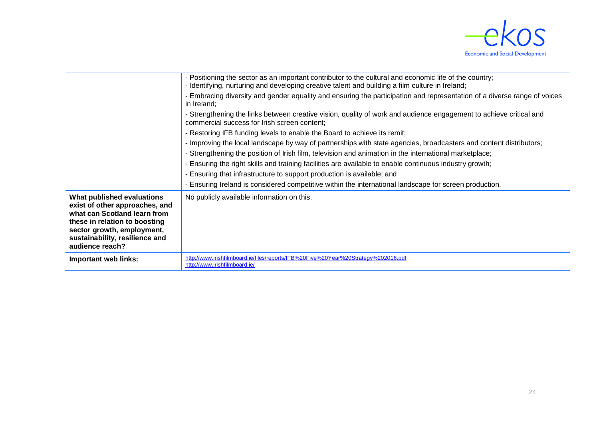

|                                                                                                                                                                                                                  | - Positioning the sector as an important contributor to the cultural and economic life of the country;<br>- Identifying, nurturing and developing creative talent and building a film culture in Ireland; |
|------------------------------------------------------------------------------------------------------------------------------------------------------------------------------------------------------------------|-----------------------------------------------------------------------------------------------------------------------------------------------------------------------------------------------------------|
|                                                                                                                                                                                                                  | Embracing diversity and gender equality and ensuring the participation and representation of a diverse range of voices<br>in Ireland;                                                                     |
|                                                                                                                                                                                                                  | - Strengthening the links between creative vision, quality of work and audience engagement to achieve critical and<br>commercial success for Irish screen content;                                        |
|                                                                                                                                                                                                                  | - Restoring IFB funding levels to enable the Board to achieve its remit;                                                                                                                                  |
|                                                                                                                                                                                                                  | - Improving the local landscape by way of partnerships with state agencies, broadcasters and content distributors;                                                                                        |
|                                                                                                                                                                                                                  | - Strengthening the position of Irish film, television and animation in the international marketplace;                                                                                                    |
|                                                                                                                                                                                                                  | - Ensuring the right skills and training facilities are available to enable continuous industry growth;                                                                                                   |
|                                                                                                                                                                                                                  | Ensuring that infrastructure to support production is available; and                                                                                                                                      |
|                                                                                                                                                                                                                  | Ensuring Ireland is considered competitive within the international landscape for screen production.                                                                                                      |
| What published evaluations<br>exist of other approaches, and<br>what can Scotland learn from<br>these in relation to boosting<br>sector growth, employment,<br>sustainability, resilience and<br>audience reach? | No publicly available information on this.                                                                                                                                                                |
| Important web links:                                                                                                                                                                                             | http://www.irishfilmboard.ie/files/reports/IFB%20Five%20Year%20Strategy%202016.pdf<br>http://www.irishfilmboard.ie/                                                                                       |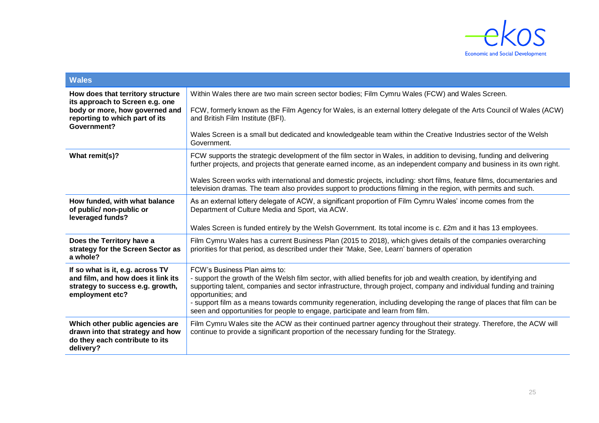

| <b>Wales</b>                                                                                                                  |                                                                                                                                                                                                                                                                                                                                                                                                                                                                                                           |
|-------------------------------------------------------------------------------------------------------------------------------|-----------------------------------------------------------------------------------------------------------------------------------------------------------------------------------------------------------------------------------------------------------------------------------------------------------------------------------------------------------------------------------------------------------------------------------------------------------------------------------------------------------|
| How does that territory structure<br>its approach to Screen e.g. one                                                          | Within Wales there are two main screen sector bodies; Film Cymru Wales (FCW) and Wales Screen.                                                                                                                                                                                                                                                                                                                                                                                                            |
| body or more, how governed and<br>reporting to which part of its<br>Government?                                               | FCW, formerly known as the Film Agency for Wales, is an external lottery delegate of the Arts Council of Wales (ACW)<br>and British Film Institute (BFI).                                                                                                                                                                                                                                                                                                                                                 |
|                                                                                                                               | Wales Screen is a small but dedicated and knowledgeable team within the Creative Industries sector of the Welsh<br>Government.                                                                                                                                                                                                                                                                                                                                                                            |
| What remit(s)?                                                                                                                | FCW supports the strategic development of the film sector in Wales, in addition to devising, funding and delivering<br>further projects, and projects that generate earned income, as an independent company and business in its own right.                                                                                                                                                                                                                                                               |
|                                                                                                                               | Wales Screen works with international and domestic projects, including: short films, feature films, documentaries and<br>television dramas. The team also provides support to productions filming in the region, with permits and such.                                                                                                                                                                                                                                                                   |
| How funded, with what balance<br>of public/ non-public or<br>leveraged funds?                                                 | As an external lottery delegate of ACW, a significant proportion of Film Cymru Wales' income comes from the<br>Department of Culture Media and Sport, via ACW.                                                                                                                                                                                                                                                                                                                                            |
|                                                                                                                               | Wales Screen is funded entirely by the Welsh Government. Its total income is c. £2m and it has 13 employees.                                                                                                                                                                                                                                                                                                                                                                                              |
| Does the Territory have a<br>strategy for the Screen Sector as<br>a whole?                                                    | Film Cymru Wales has a current Business Plan (2015 to 2018), which gives details of the companies overarching<br>priorities for that period, as described under their 'Make, See, Learn' banners of operation                                                                                                                                                                                                                                                                                             |
| If so what is it, e.g. across TV<br>and film, and how does it link its<br>strategy to success e.g. growth,<br>employment etc? | FCW's Business Plan aims to:<br>- support the growth of the Welsh film sector, with allied benefits for job and wealth creation, by identifying and<br>supporting talent, companies and sector infrastructure, through project, company and individual funding and training<br>opportunities; and<br>- support film as a means towards community regeneration, including developing the range of places that film can be<br>seen and opportunities for people to engage, participate and learn from film. |
| Which other public agencies are<br>drawn into that strategy and how<br>do they each contribute to its<br>delivery?            | Film Cymru Wales site the ACW as their continued partner agency throughout their strategy. Therefore, the ACW will<br>continue to provide a significant proportion of the necessary funding for the Strategy.                                                                                                                                                                                                                                                                                             |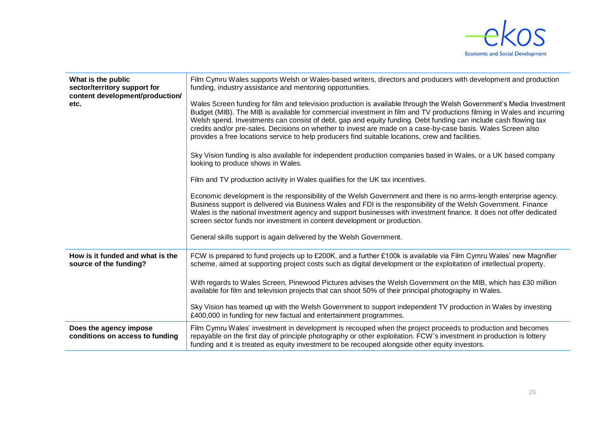

| What is the public<br>sector/territory support for<br>content development/production/<br>etc. | Film Cymru Wales supports Welsh or Wales-based writers, directors and producers with development and production<br>funding, industry assistance and mentoring opportunities.<br>Wales Screen funding for film and television production is available through the Welsh Government's Media Investment<br>Budget (MIB). The MIB is available for commercial investment in film and TV productions filming in Wales and incurring<br>Welsh spend. Investments can consist of debt, gap and equity funding. Debt funding can include cash flowing tax<br>credits and/or pre-sales. Decisions on whether to invest are made on a case-by-case basis. Wales Screen also<br>provides a free locations service to help producers find suitable locations, crew and facilities.<br>Sky Vision funding is also available for independent production companies based in Wales, or a UK based company<br>looking to produce shows in Wales.<br>Film and TV production activity in Wales qualifies for the UK tax incentives.<br>Economic development is the responsibility of the Welsh Government and there is no arms-length enterprise agency.<br>Business support is delivered via Business Wales and FDI is the responsibility of the Welsh Government. Finance<br>Wales is the national investment agency and support businesses with investment finance. It does not offer dedicated<br>screen sector funds nor investment in content development or production.<br>General skills support is again delivered by the Welsh Government. |
|-----------------------------------------------------------------------------------------------|-----------------------------------------------------------------------------------------------------------------------------------------------------------------------------------------------------------------------------------------------------------------------------------------------------------------------------------------------------------------------------------------------------------------------------------------------------------------------------------------------------------------------------------------------------------------------------------------------------------------------------------------------------------------------------------------------------------------------------------------------------------------------------------------------------------------------------------------------------------------------------------------------------------------------------------------------------------------------------------------------------------------------------------------------------------------------------------------------------------------------------------------------------------------------------------------------------------------------------------------------------------------------------------------------------------------------------------------------------------------------------------------------------------------------------------------------------------------------------------------------------------------------------------|
| How is it funded and what is the<br>source of the funding?                                    | FCW is prepared to fund projects up to £200K, and a further £100k is available via Film Cymru Wales' new Magnifier<br>scheme, aimed at supporting project costs such as digital development or the exploitation of intellectual property.<br>With regards to Wales Screen, Pinewood Pictures advises the Welsh Government on the MIB, which has £30 million<br>available for film and television projects that can shoot 50% of their principal photography in Wales.<br>Sky Vision has teamed up with the Welsh Government to support independent TV production in Wales by investing<br>£400,000 in funding for new factual and entertainment programmes.                                                                                                                                                                                                                                                                                                                                                                                                                                                                                                                                                                                                                                                                                                                                                                                                                                                                       |
| Does the agency impose<br>conditions on access to funding                                     | Film Cymru Wales' investment in development is recouped when the project proceeds to production and becomes<br>repayable on the first day of principle photography or other exploitation. FCW's investment in production is lottery<br>funding and it is treated as equity investment to be recouped alongside other equity investors.                                                                                                                                                                                                                                                                                                                                                                                                                                                                                                                                                                                                                                                                                                                                                                                                                                                                                                                                                                                                                                                                                                                                                                                            |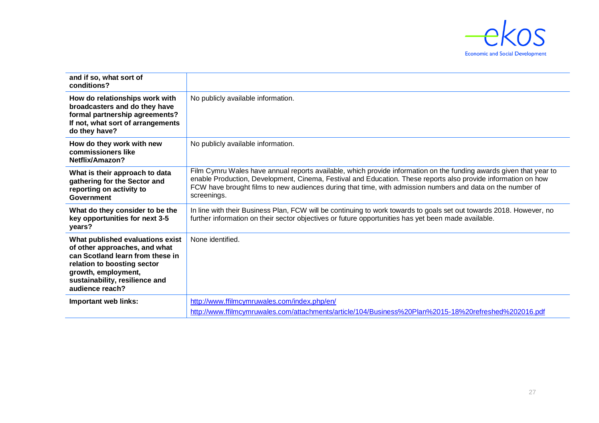

| and if so, what sort of<br>conditions?                                                                                                                                                                           |                                                                                                                                                                                                                                                                                                                                                                  |
|------------------------------------------------------------------------------------------------------------------------------------------------------------------------------------------------------------------|------------------------------------------------------------------------------------------------------------------------------------------------------------------------------------------------------------------------------------------------------------------------------------------------------------------------------------------------------------------|
| How do relationships work with<br>broadcasters and do they have<br>formal partnership agreements?<br>If not, what sort of arrangements<br>do they have?                                                          | No publicly available information.                                                                                                                                                                                                                                                                                                                               |
| How do they work with new<br>commissioners like<br>Netflix/Amazon?                                                                                                                                               | No publicly available information.                                                                                                                                                                                                                                                                                                                               |
| What is their approach to data<br>gathering for the Sector and<br>reporting on activity to<br>Government                                                                                                         | Film Cymru Wales have annual reports available, which provide information on the funding awards given that year to<br>enable Production, Development, Cinema, Festival and Education. These reports also provide information on how<br>FCW have brought films to new audiences during that time, with admission numbers and data on the number of<br>screenings. |
| What do they consider to be the<br>key opportunities for next 3-5<br>years?                                                                                                                                      | In line with their Business Plan, FCW will be continuing to work towards to goals set out towards 2018. However, no<br>further information on their sector objectives or future opportunities has yet been made available.                                                                                                                                       |
| What published evaluations exist<br>of other approaches, and what<br>can Scotland learn from these in<br>relation to boosting sector<br>growth, employment,<br>sustainability, resilience and<br>audience reach? | None identified.                                                                                                                                                                                                                                                                                                                                                 |
| Important web links:                                                                                                                                                                                             | http://www.ffilmcymruwales.com/index.php/en/<br>http://www.ffilmcymruwales.com/attachments/article/104/Business%20Plan%2015-18%20refreshed%202016.pdf                                                                                                                                                                                                            |
|                                                                                                                                                                                                                  |                                                                                                                                                                                                                                                                                                                                                                  |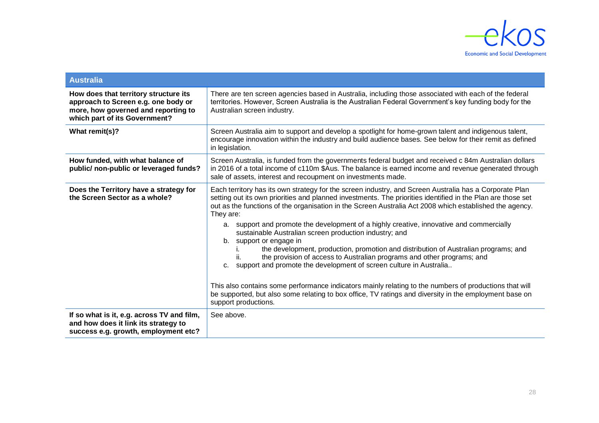

| <b>Australia</b>                                                                                                                                     |                                                                                                                                                                                                                                                                                                                                                                                                                                                                                                                                                                                                                                                                                                                                                                                                                                                                                                                                                                                                                      |
|------------------------------------------------------------------------------------------------------------------------------------------------------|----------------------------------------------------------------------------------------------------------------------------------------------------------------------------------------------------------------------------------------------------------------------------------------------------------------------------------------------------------------------------------------------------------------------------------------------------------------------------------------------------------------------------------------------------------------------------------------------------------------------------------------------------------------------------------------------------------------------------------------------------------------------------------------------------------------------------------------------------------------------------------------------------------------------------------------------------------------------------------------------------------------------|
| How does that territory structure its<br>approach to Screen e.g. one body or<br>more, how governed and reporting to<br>which part of its Government? | There are ten screen agencies based in Australia, including those associated with each of the federal<br>territories. However, Screen Australia is the Australian Federal Government's key funding body for the<br>Australian screen industry.                                                                                                                                                                                                                                                                                                                                                                                                                                                                                                                                                                                                                                                                                                                                                                       |
| What remit(s)?                                                                                                                                       | Screen Australia aim to support and develop a spotlight for home-grown talent and indigenous talent,<br>encourage innovation within the industry and build audience bases. See below for their remit as defined<br>in legislation.                                                                                                                                                                                                                                                                                                                                                                                                                                                                                                                                                                                                                                                                                                                                                                                   |
| How funded, with what balance of<br>public/ non-public or leveraged funds?                                                                           | Screen Australia, is funded from the governments federal budget and received c 84m Australian dollars<br>in 2016 of a total income of c110m \$Aus. The balance is earned income and revenue generated through<br>sale of assets, interest and recoupment on investments made.                                                                                                                                                                                                                                                                                                                                                                                                                                                                                                                                                                                                                                                                                                                                        |
| Does the Territory have a strategy for<br>the Screen Sector as a whole?                                                                              | Each territory has its own strategy for the screen industry, and Screen Australia has a Corporate Plan<br>setting out its own priorities and planned investments. The priorities identified in the Plan are those set<br>out as the functions of the organisation in the Screen Australia Act 2008 which established the agency.<br>They are:<br>a. support and promote the development of a highly creative, innovative and commercially<br>sustainable Australian screen production industry; and<br>b. support or engage in<br>the development, production, promotion and distribution of Australian programs; and<br>the provision of access to Australian programs and other programs; and<br>c. support and promote the development of screen culture in Australia<br>This also contains some performance indicators mainly relating to the numbers of productions that will<br>be supported, but also some relating to box office, TV ratings and diversity in the employment base on<br>support productions. |
| If so what is it, e.g. across TV and film,<br>and how does it link its strategy to<br>success e.g. growth, employment etc?                           | See above.                                                                                                                                                                                                                                                                                                                                                                                                                                                                                                                                                                                                                                                                                                                                                                                                                                                                                                                                                                                                           |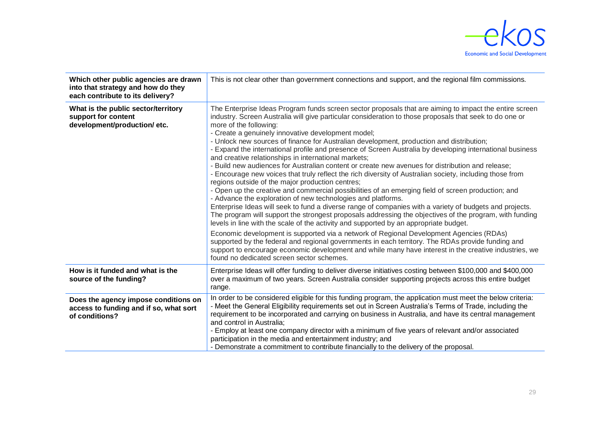

| Which other public agencies are drawn<br>into that strategy and how do they<br>each contribute to its delivery? | This is not clear other than government connections and support, and the regional film commissions.                                                                                                                                                                                                                                                                                                                                                                                                                                                                                                                                                                                                                                                                                                                                                                                                                                                                                                                                                                                                                                                                                                                                                                                                                                                                                                                                                                                                                                                                                                                                                                              |
|-----------------------------------------------------------------------------------------------------------------|----------------------------------------------------------------------------------------------------------------------------------------------------------------------------------------------------------------------------------------------------------------------------------------------------------------------------------------------------------------------------------------------------------------------------------------------------------------------------------------------------------------------------------------------------------------------------------------------------------------------------------------------------------------------------------------------------------------------------------------------------------------------------------------------------------------------------------------------------------------------------------------------------------------------------------------------------------------------------------------------------------------------------------------------------------------------------------------------------------------------------------------------------------------------------------------------------------------------------------------------------------------------------------------------------------------------------------------------------------------------------------------------------------------------------------------------------------------------------------------------------------------------------------------------------------------------------------------------------------------------------------------------------------------------------------|
| What is the public sector/territory<br>support for content<br>development/production/etc.                       | The Enterprise Ideas Program funds screen sector proposals that are aiming to impact the entire screen<br>industry. Screen Australia will give particular consideration to those proposals that seek to do one or<br>more of the following:<br>- Create a genuinely innovative development model;<br>- Unlock new sources of finance for Australian development, production and distribution;<br>- Expand the international profile and presence of Screen Australia by developing international business<br>and creative relationships in international markets;<br>- Build new audiences for Australian content or create new avenues for distribution and release;<br>- Encourage new voices that truly reflect the rich diversity of Australian society, including those from<br>regions outside of the major production centres;<br>- Open up the creative and commercial possibilities of an emerging field of screen production; and<br>- Advance the exploration of new technologies and platforms.<br>Enterprise Ideas will seek to fund a diverse range of companies with a variety of budgets and projects.<br>The program will support the strongest proposals addressing the objectives of the program, with funding<br>levels in line with the scale of the activity and supported by an appropriate budget.<br>Economic development is supported via a network of Regional Development Agencies (RDAs)<br>supported by the federal and regional governments in each territory. The RDAs provide funding and<br>support to encourage economic development and while many have interest in the creative industries, we<br>found no dedicated screen sector schemes. |
| How is it funded and what is the<br>source of the funding?                                                      | Enterprise Ideas will offer funding to deliver diverse initiatives costing between \$100,000 and \$400,000<br>over a maximum of two years. Screen Australia consider supporting projects across this entire budget<br>range.                                                                                                                                                                                                                                                                                                                                                                                                                                                                                                                                                                                                                                                                                                                                                                                                                                                                                                                                                                                                                                                                                                                                                                                                                                                                                                                                                                                                                                                     |
| Does the agency impose conditions on<br>access to funding and if so, what sort<br>of conditions?                | In order to be considered eligible for this funding program, the application must meet the below criteria:<br>- Meet the General Eligibility requirements set out in Screen Australia's Terms of Trade, including the<br>requirement to be incorporated and carrying on business in Australia, and have its central management<br>and control in Australia;<br>- Employ at least one company director with a minimum of five years of relevant and/or associated<br>participation in the media and entertainment industry; and<br>- Demonstrate a commitment to contribute financially to the delivery of the proposal.                                                                                                                                                                                                                                                                                                                                                                                                                                                                                                                                                                                                                                                                                                                                                                                                                                                                                                                                                                                                                                                          |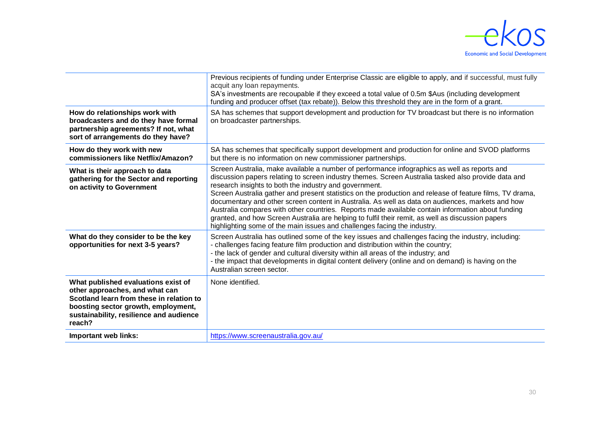

|                                                                                                                                                                                                               | Previous recipients of funding under Enterprise Classic are eligible to apply, and if successful, must fully<br>acquit any loan repayments.<br>SA's investments are recoupable if they exceed a total value of 0.5m \$Aus (including development<br>funding and producer offset (tax rebate)). Below this threshold they are in the form of a grant.                                                                                                                                                                                                                                                                                                                                                                                                                |
|---------------------------------------------------------------------------------------------------------------------------------------------------------------------------------------------------------------|---------------------------------------------------------------------------------------------------------------------------------------------------------------------------------------------------------------------------------------------------------------------------------------------------------------------------------------------------------------------------------------------------------------------------------------------------------------------------------------------------------------------------------------------------------------------------------------------------------------------------------------------------------------------------------------------------------------------------------------------------------------------|
| How do relationships work with<br>broadcasters and do they have formal<br>partnership agreements? If not, what<br>sort of arrangements do they have?                                                          | SA has schemes that support development and production for TV broadcast but there is no information<br>on broadcaster partnerships.                                                                                                                                                                                                                                                                                                                                                                                                                                                                                                                                                                                                                                 |
| How do they work with new<br>commissioners like Netflix/Amazon?                                                                                                                                               | SA has schemes that specifically support development and production for online and SVOD platforms<br>but there is no information on new commissioner partnerships.                                                                                                                                                                                                                                                                                                                                                                                                                                                                                                                                                                                                  |
| What is their approach to data<br>gathering for the Sector and reporting<br>on activity to Government                                                                                                         | Screen Australia, make available a number of performance infographics as well as reports and<br>discussion papers relating to screen industry themes. Screen Australia tasked also provide data and<br>research insights to both the industry and government.<br>Screen Australia gather and present statistics on the production and release of feature films, TV drama,<br>documentary and other screen content in Australia. As well as data on audiences, markets and how<br>Australia compares with other countries. Reports made available contain information about funding<br>granted, and how Screen Australia are helping to fulfil their remit, as well as discussion papers<br>highlighting some of the main issues and challenges facing the industry. |
| What do they consider to be the key<br>opportunities for next 3-5 years?                                                                                                                                      | Screen Australia has outlined some of the key issues and challenges facing the industry, including:<br>- challenges facing feature film production and distribution within the country;<br>- the lack of gender and cultural diversity within all areas of the industry; and<br>- the impact that developments in digital content delivery (online and on demand) is having on the<br>Australian screen sector.                                                                                                                                                                                                                                                                                                                                                     |
| What published evaluations exist of<br>other approaches, and what can<br>Scotland learn from these in relation to<br>boosting sector growth, employment,<br>sustainability, resilience and audience<br>reach? | None identified.                                                                                                                                                                                                                                                                                                                                                                                                                                                                                                                                                                                                                                                                                                                                                    |
| Important web links:                                                                                                                                                                                          | https://www.screenaustralia.gov.au/                                                                                                                                                                                                                                                                                                                                                                                                                                                                                                                                                                                                                                                                                                                                 |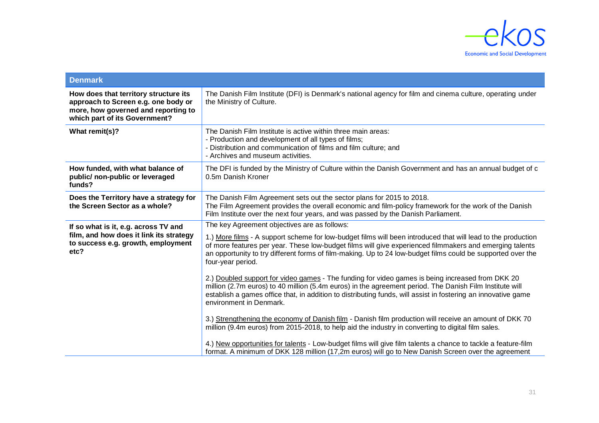

| <b>Denmark</b>                                                                                                                                       |                                                                                                                                                                                                                                                                                                                                                                                                             |
|------------------------------------------------------------------------------------------------------------------------------------------------------|-------------------------------------------------------------------------------------------------------------------------------------------------------------------------------------------------------------------------------------------------------------------------------------------------------------------------------------------------------------------------------------------------------------|
| How does that territory structure its<br>approach to Screen e.g. one body or<br>more, how governed and reporting to<br>which part of its Government? | The Danish Film Institute (DFI) is Denmark's national agency for film and cinema culture, operating under<br>the Ministry of Culture.                                                                                                                                                                                                                                                                       |
| What remit(s)?                                                                                                                                       | The Danish Film Institute is active within three main areas:<br>- Production and development of all types of films;<br>- Distribution and communication of films and film culture; and<br>- Archives and museum activities.                                                                                                                                                                                 |
| How funded, with what balance of<br>public/ non-public or leveraged<br>funds?                                                                        | The DFI is funded by the Ministry of Culture within the Danish Government and has an annual budget of c<br>0.5m Danish Kroner                                                                                                                                                                                                                                                                               |
| Does the Territory have a strategy for<br>the Screen Sector as a whole?                                                                              | The Danish Film Agreement sets out the sector plans for 2015 to 2018.<br>The Film Agreement provides the overall economic and film-policy framework for the work of the Danish<br>Film Institute over the next four years, and was passed by the Danish Parliament.                                                                                                                                         |
| If so what is it, e.g. across TV and<br>film, and how does it link its strategy<br>to success e.g. growth, employment<br>etc?                        | The key Agreement objectives are as follows:<br>1.) More films - A support scheme for low-budget films will been introduced that will lead to the production<br>of more features per year. These low-budget films will give experienced filmmakers and emerging talents<br>an opportunity to try different forms of film-making. Up to 24 low-budget films could be supported over the<br>four-year period. |
|                                                                                                                                                      | 2.) Doubled support for video games - The funding for video games is being increased from DKK 20<br>million (2.7m euros) to 40 million (5.4m euros) in the agreement period. The Danish Film Institute will<br>establish a games office that, in addition to distributing funds, will assist in fostering an innovative game<br>environment in Denmark.                                                     |
|                                                                                                                                                      | 3.) Strengthening the economy of Danish film - Danish film production will receive an amount of DKK 70<br>million (9.4m euros) from 2015-2018, to help aid the industry in converting to digital film sales.                                                                                                                                                                                                |
|                                                                                                                                                      | 4.) New opportunities for talents - Low-budget films will give film talents a chance to tackle a feature-film<br>format. A minimum of DKK 128 million (17,2m euros) will go to New Danish Screen over the agreement                                                                                                                                                                                         |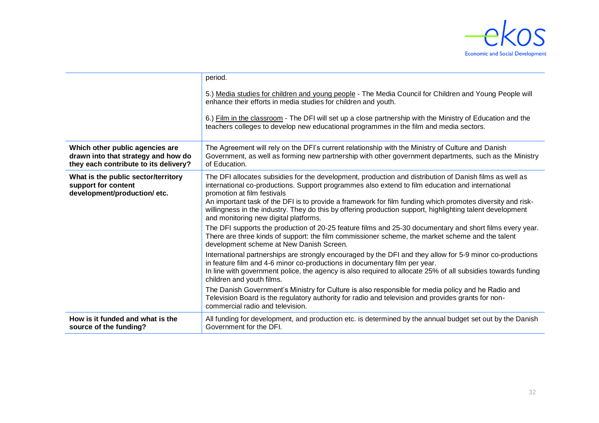

|                                                                                                                 | period.                                                                                                                                                                                                                                                                                                                                                                                                                                                                                                        |
|-----------------------------------------------------------------------------------------------------------------|----------------------------------------------------------------------------------------------------------------------------------------------------------------------------------------------------------------------------------------------------------------------------------------------------------------------------------------------------------------------------------------------------------------------------------------------------------------------------------------------------------------|
|                                                                                                                 | 5.) Media studies for children and young people - The Media Council for Children and Young People will<br>enhance their efforts in media studies for children and youth.                                                                                                                                                                                                                                                                                                                                       |
|                                                                                                                 | 6.) Film in the classroom - The DFI will set up a close partnership with the Ministry of Education and the<br>teachers colleges to develop new educational programmes in the film and media sectors.                                                                                                                                                                                                                                                                                                           |
| Which other public agencies are<br>drawn into that strategy and how do<br>they each contribute to its delivery? | The Agreement will rely on the DFI's current relationship with the Ministry of Culture and Danish<br>Government, as well as forming new partnership with other government departments, such as the Ministry<br>of Education.                                                                                                                                                                                                                                                                                   |
| What is the public sector/territory<br>support for content<br>development/production/etc.                       | The DFI allocates subsidies for the development, production and distribution of Danish films as well as<br>international co-productions. Support programmes also extend to film education and international<br>promotion at film festivals<br>An important task of the DFI is to provide a framework for film funding which promotes diversity and risk-<br>willingness in the industry. They do this by offering production support, highlighting talent development<br>and monitoring new digital platforms. |
|                                                                                                                 | The DFI supports the production of 20-25 feature films and 25-30 documentary and short films every year.<br>There are three kinds of support: the film commissioner scheme, the market scheme and the talent<br>development scheme at New Danish Screen.                                                                                                                                                                                                                                                       |
|                                                                                                                 | International partnerships are strongly encouraged by the DFI and they allow for 5-9 minor co-productions<br>in feature film and 4-6 minor co-productions in documentary film per year.<br>In line with government police, the agency is also required to allocate 25% of all subsidies towards funding<br>children and youth films.                                                                                                                                                                           |
|                                                                                                                 | The Danish Government's Ministry for Culture is also responsible for media policy and he Radio and<br>Television Board is the regulatory authority for radio and television and provides grants for non-<br>commercial radio and television.                                                                                                                                                                                                                                                                   |
| How is it funded and what is the<br>source of the funding?                                                      | All funding for development, and production etc. is determined by the annual budget set out by the Danish<br>Government for the DFI.                                                                                                                                                                                                                                                                                                                                                                           |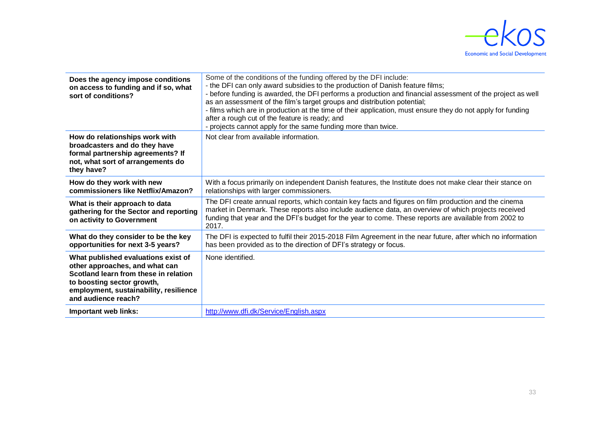

| Does the agency impose conditions<br>on access to funding and if so, what<br>sort of conditions?                                                                                                              | Some of the conditions of the funding offered by the DFI include:<br>- the DFI can only award subsidies to the production of Danish feature films;<br>- before funding is awarded, the DFI performs a production and financial assessment of the project as well<br>as an assessment of the film's target groups and distribution potential;<br>- films which are in production at the time of their application, must ensure they do not apply for funding<br>after a rough cut of the feature is ready; and<br>projects cannot apply for the same funding more than twice. |
|---------------------------------------------------------------------------------------------------------------------------------------------------------------------------------------------------------------|------------------------------------------------------------------------------------------------------------------------------------------------------------------------------------------------------------------------------------------------------------------------------------------------------------------------------------------------------------------------------------------------------------------------------------------------------------------------------------------------------------------------------------------------------------------------------|
| How do relationships work with<br>broadcasters and do they have<br>formal partnership agreements? If<br>not, what sort of arrangements do<br>they have?                                                       | Not clear from available information.                                                                                                                                                                                                                                                                                                                                                                                                                                                                                                                                        |
| How do they work with new<br>commissioners like Netflix/Amazon?                                                                                                                                               | With a focus primarily on independent Danish features, the Institute does not make clear their stance on<br>relationships with larger commissioners.                                                                                                                                                                                                                                                                                                                                                                                                                         |
| What is their approach to data<br>gathering for the Sector and reporting<br>on activity to Government                                                                                                         | The DFI create annual reports, which contain key facts and figures on film production and the cinema<br>market in Denmark. These reports also include audience data, an overview of which projects received<br>funding that year and the DFI's budget for the year to come. These reports are available from 2002 to<br>2017.                                                                                                                                                                                                                                                |
| What do they consider to be the key<br>opportunities for next 3-5 years?                                                                                                                                      | The DFI is expected to fulfil their 2015-2018 Film Agreement in the near future, after which no information<br>has been provided as to the direction of DFI's strategy or focus.                                                                                                                                                                                                                                                                                                                                                                                             |
| What published evaluations exist of<br>other approaches, and what can<br>Scotland learn from these in relation<br>to boosting sector growth,<br>employment, sustainability, resilience<br>and audience reach? | None identified.                                                                                                                                                                                                                                                                                                                                                                                                                                                                                                                                                             |
| Important web links:                                                                                                                                                                                          | http://www.dfi.dk/Service/English.aspx                                                                                                                                                                                                                                                                                                                                                                                                                                                                                                                                       |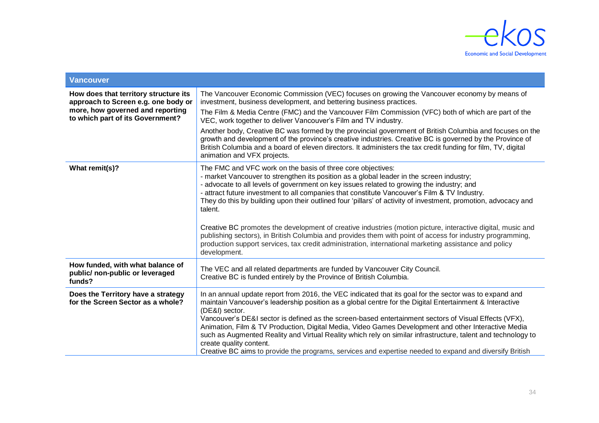

| <b>Vancouver</b>                                                                                                                                     |                                                                                                                                                                                                                                                                                                                                                                                                                                                                                   |  |
|------------------------------------------------------------------------------------------------------------------------------------------------------|-----------------------------------------------------------------------------------------------------------------------------------------------------------------------------------------------------------------------------------------------------------------------------------------------------------------------------------------------------------------------------------------------------------------------------------------------------------------------------------|--|
| How does that territory structure its<br>approach to Screen e.g. one body or<br>more, how governed and reporting<br>to which part of its Government? | The Vancouver Economic Commission (VEC) focuses on growing the Vancouver economy by means of<br>investment, business development, and bettering business practices.                                                                                                                                                                                                                                                                                                               |  |
|                                                                                                                                                      | The Film & Media Centre (FMC) and the Vancouver Film Commission (VFC) both of which are part of the<br>VEC, work together to deliver Vancouver's Film and TV industry.                                                                                                                                                                                                                                                                                                            |  |
|                                                                                                                                                      | Another body, Creative BC was formed by the provincial government of British Columbia and focuses on the<br>growth and development of the province's creative industries. Creative BC is governed by the Province of<br>British Columbia and a board of eleven directors. It administers the tax credit funding for film, TV, digital<br>animation and VFX projects.                                                                                                              |  |
| What remit(s)?                                                                                                                                       | The FMC and VFC work on the basis of three core objectives:<br>- market Vancouver to strengthen its position as a global leader in the screen industry;<br>- advocate to all levels of government on key issues related to growing the industry; and<br>- attract future investment to all companies that constitute Vancouver's Film & TV Industry.<br>They do this by building upon their outlined four 'pillars' of activity of investment, promotion, advocacy and<br>talent. |  |
|                                                                                                                                                      | Creative BC promotes the development of creative industries (motion picture, interactive digital, music and<br>publishing sectors), in British Columbia and provides them with point of access for industry programming,<br>production support services, tax credit administration, international marketing assistance and policy<br>development.                                                                                                                                 |  |
| How funded, with what balance of<br>public/ non-public or leveraged<br>funds?                                                                        | The VEC and all related departments are funded by Vancouver City Council.<br>Creative BC is funded entirely by the Province of British Columbia.                                                                                                                                                                                                                                                                                                                                  |  |
| Does the Territory have a strategy<br>for the Screen Sector as a whole?                                                                              | In an annual update report from 2016, the VEC indicated that its goal for the sector was to expand and<br>maintain Vancouver's leadership position as a global centre for the Digital Entertainment & Interactive<br>(DE&I) sector.                                                                                                                                                                                                                                               |  |
|                                                                                                                                                      | Vancouver's DE&I sector is defined as the screen-based entertainment sectors of Visual Effects (VFX),<br>Animation, Film & TV Production, Digital Media, Video Games Development and other Interactive Media<br>such as Augmented Reality and Virtual Reality which rely on similar infrastructure, talent and technology to<br>create quality content.<br>Creative BC aims to provide the programs, services and expertise needed to expand and diversify British                |  |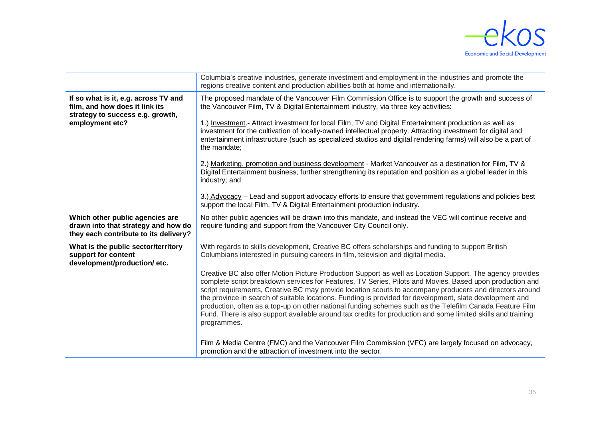

|                                                                                                                 | Columbia's creative industries, generate investment and employment in the industries and promote the<br>regions creative content and production abilities both at home and internationally.                                                                                                                                                                                                                                                                                                                                                                                                                                                                                              |
|-----------------------------------------------------------------------------------------------------------------|------------------------------------------------------------------------------------------------------------------------------------------------------------------------------------------------------------------------------------------------------------------------------------------------------------------------------------------------------------------------------------------------------------------------------------------------------------------------------------------------------------------------------------------------------------------------------------------------------------------------------------------------------------------------------------------|
| If so what is it, e.g. across TV and<br>film, and how does it link its<br>strategy to success e.g. growth,      | The proposed mandate of the Vancouver Film Commission Office is to support the growth and success of<br>the Vancouver Film, TV & Digital Entertainment industry, via three key activities:                                                                                                                                                                                                                                                                                                                                                                                                                                                                                               |
| employment etc?                                                                                                 | 1.) Investment .- Attract investment for local Film, TV and Digital Entertainment production as well as<br>investment for the cultivation of locally-owned intellectual property. Attracting investment for digital and<br>entertainment infrastructure (such as specialized studios and digital rendering farms) will also be a part of<br>the mandate;                                                                                                                                                                                                                                                                                                                                 |
|                                                                                                                 | 2.) Marketing, promotion and business development - Market Vancouver as a destination for Film, TV &<br>Digital Entertainment business, further strengthening its reputation and position as a global leader in this<br>industry; and                                                                                                                                                                                                                                                                                                                                                                                                                                                    |
|                                                                                                                 | 3.) Advocacy - Lead and support advocacy efforts to ensure that government regulations and policies best<br>support the local Film, TV & Digital Entertainment production industry.                                                                                                                                                                                                                                                                                                                                                                                                                                                                                                      |
| Which other public agencies are<br>drawn into that strategy and how do<br>they each contribute to its delivery? | No other public agencies will be drawn into this mandate, and instead the VEC will continue receive and<br>require funding and support from the Vancouver City Council only.                                                                                                                                                                                                                                                                                                                                                                                                                                                                                                             |
| What is the public sector/territory<br>support for content<br>development/production/etc.                       | With regards to skills development, Creative BC offers scholarships and funding to support British<br>Columbians interested in pursuing careers in film, television and digital media.                                                                                                                                                                                                                                                                                                                                                                                                                                                                                                   |
|                                                                                                                 | Creative BC also offer Motion Picture Production Support as well as Location Support. The agency provides<br>complete script breakdown services for Features, TV Series, Pilots and Movies. Based upon production and<br>script requirements, Creative BC may provide location scouts to accompany producers and directors around<br>the province in search of suitable locations. Funding is provided for development, slate development and<br>production, often as a top-up on other national funding schemes such as the Telefilm Canada Feature Film<br>Fund. There is also support available around tax credits for production and some limited skills and training<br>programmes. |
|                                                                                                                 | Film & Media Centre (FMC) and the Vancouver Film Commission (VFC) are largely focused on advocacy,<br>promotion and the attraction of investment into the sector.                                                                                                                                                                                                                                                                                                                                                                                                                                                                                                                        |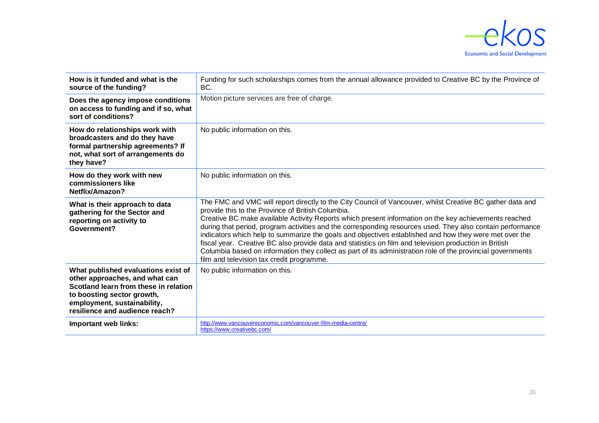

| How is it funded and what is the<br>source of the funding?                                                                                                                                                    | Funding for such scholarships comes from the annual allowance provided to Creative BC by the Province of<br>BC.                                                                                                                                                                                                                                                                                                                                                                                                                                                                                                                                                                                                                                                       |
|---------------------------------------------------------------------------------------------------------------------------------------------------------------------------------------------------------------|-----------------------------------------------------------------------------------------------------------------------------------------------------------------------------------------------------------------------------------------------------------------------------------------------------------------------------------------------------------------------------------------------------------------------------------------------------------------------------------------------------------------------------------------------------------------------------------------------------------------------------------------------------------------------------------------------------------------------------------------------------------------------|
| Does the agency impose conditions<br>on access to funding and if so, what<br>sort of conditions?                                                                                                              | Motion picture services are free of charge.                                                                                                                                                                                                                                                                                                                                                                                                                                                                                                                                                                                                                                                                                                                           |
| How do relationships work with<br>broadcasters and do they have<br>formal partnership agreements? If<br>not, what sort of arrangements do<br>they have?                                                       | No public information on this.                                                                                                                                                                                                                                                                                                                                                                                                                                                                                                                                                                                                                                                                                                                                        |
| How do they work with new<br>commissioners like<br>Netflix/Amazon?                                                                                                                                            | No public information on this.                                                                                                                                                                                                                                                                                                                                                                                                                                                                                                                                                                                                                                                                                                                                        |
| What is their approach to data<br>gathering for the Sector and<br>reporting on activity to<br>Government?                                                                                                     | The FMC and VMC will report directly to the City Council of Vancouver, whilst Creative BC gather data and<br>provide this to the Province of British Columbia.<br>Creative BC make available Activity Reports which present information on the key achievements reached<br>during that period, program activities and the corresponding resources used. They also contain performance<br>indicators which help to summarize the goals and objectives established and how they were met over the<br>fiscal year. Creative BC also provide data and statistics on film and television production in British<br>Columbia based on information they collect as part of its administration role of the provincial governments<br>film and television tax credit programme. |
| What published evaluations exist of<br>other approaches, and what can<br>Scotland learn from these in relation<br>to boosting sector growth,<br>employment, sustainability,<br>resilience and audience reach? | No public information on this.                                                                                                                                                                                                                                                                                                                                                                                                                                                                                                                                                                                                                                                                                                                                        |
| Important web links:                                                                                                                                                                                          | http://www.vancouvereconomic.com/vancouver-film-media-centre/<br>https://www.creativebc.com/                                                                                                                                                                                                                                                                                                                                                                                                                                                                                                                                                                                                                                                                          |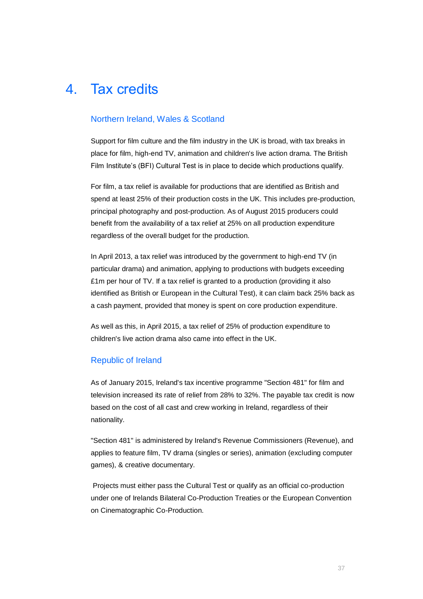## <span id="page-39-0"></span>4. Tax credits

#### Northern Ireland, Wales & Scotland

Support for film culture and the film industry in the UK is broad, with tax breaks in place for film, high-end TV, animation and children's live action drama. The British Film Institute's (BFI) Cultural Test is in place to decide which productions qualify.

For film, a tax relief is available for productions that are identified as British and spend at least 25% of their production costs in the UK. This includes pre-production, principal photography and post-production. As of August 2015 producers could benefit from the availability of a tax relief at 25% on all production expenditure regardless of the overall budget for the production.

In April 2013, a tax relief was introduced by the government to high-end TV (in particular drama) and animation, applying to productions with budgets exceeding £1m per hour of TV. If a tax relief is granted to a production (providing it also identified as British or European in the Cultural Test), it can claim back 25% back as a cash payment, provided that money is spent on core production expenditure.

As well as this, in April 2015, a tax relief of 25% of production expenditure to children's live action drama also came into effect in the UK.

#### Republic of Ireland

As of January 2015, Ireland's tax incentive programme "Section 481" for film and television increased its rate of relief from 28% to 32%. The payable tax credit is now based on the cost of all cast and crew working in Ireland, regardless of their nationality.

"Section 481" is administered by Ireland's Revenue Commissioners (Revenue), and applies to feature film, TV drama (singles or series), animation (excluding computer games), & creative documentary.

Projects must either pass the Cultural Test or qualify as an official co-production under one of Irelands Bilateral Co-Production Treaties or the European Convention on Cinematographic Co-Production.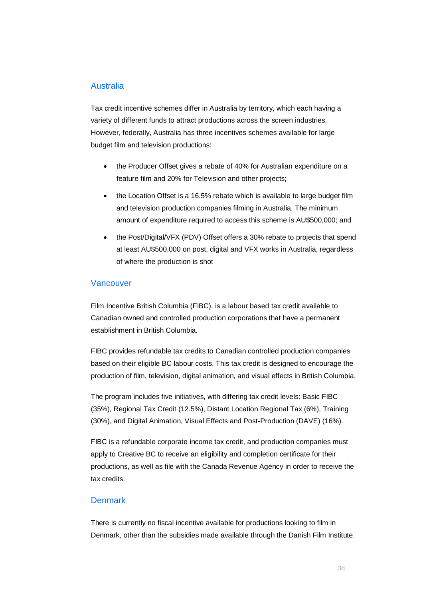#### Australia

Tax credit incentive schemes differ in Australia by territory, which each having a variety of different funds to attract productions across the screen industries. However, federally, Australia has three incentives schemes available for large budget film and television productions:

- the Producer Offset gives a rebate of 40% for Australian expenditure on a feature film and 20% for Television and other projects;
- the Location Offset is a 16.5% rebate which is available to large budget film and television production companies filming in Australia. The minimum amount of expenditure required to access this scheme is AU\$500,000; and
- the Post/Digital/VFX (PDV) Offset offers a 30% rebate to projects that spend at least AU\$500,000 on post, digital and VFX works in Australia, regardless of where the production is shot

#### **Vancouver**

Film Incentive British Columbia (FIBC), is a labour based tax credit available to Canadian owned and controlled production corporations that have a permanent establishment in British Columbia.

FIBC provides refundable tax credits to Canadian controlled production companies based on their eligible BC labour costs. This tax credit is designed to encourage the production of film, television, digital animation, and visual effects in British Columbia.

The program includes five initiatives, with differing tax credit levels: Basic FIBC (35%), Regional Tax Credit (12.5%), Distant Location Regional Tax (6%), Training (30%), and Digital Animation, Visual Effects and Post-Production (DAVE) (16%).

FIBC is a refundable corporate income tax credit, and production companies must apply to Creative BC to receive an eligibility and completion certificate for their productions, as well as file with the Canada Revenue Agency in order to receive the tax credits.

#### **Denmark**

There is currently no fiscal incentive available for productions looking to film in Denmark, other than the subsidies made available through the Danish Film Institute.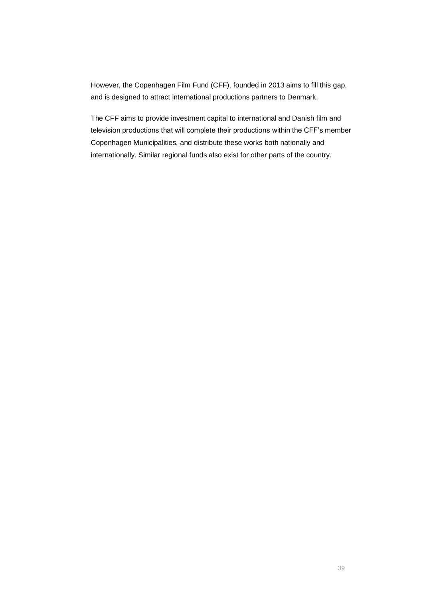However, the Copenhagen Film Fund (CFF), founded in 2013 aims to fill this gap, and is designed to attract international productions partners to Denmark.

The CFF aims to provide investment capital to international and Danish film and television productions that will complete their productions within the CFF's member Copenhagen Municipalities, and distribute these works both nationally and internationally. Similar regional funds also exist for other parts of the country.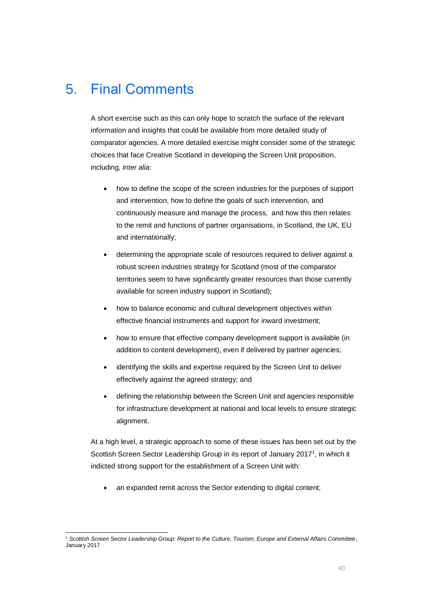## <span id="page-42-0"></span>5. Final Comments

A short exercise such as this can only hope to scratch the surface of the relevant information and insights that could be available from more detailed study of comparator agencies. A more detailed exercise might consider some of the strategic choices that face Creative Scotland in developing the Screen Unit proposition, including*, inter alia*:

- how to define the scope of the screen industries for the purposes of support and intervention, how to define the goals of such intervention, and continuously measure and manage the process, and how this then relates to the remit and functions of partner organisations, in Scotland, the UK, EU and internationally;
- determining the appropriate scale of resources required to deliver against a robust screen industries strategy for Scotland (most of the comparator territories seem to have significantly greater resources than those currently available for screen industry support in Scotland);
- how to balance economic and cultural development objectives within effective financial instruments and support for inward investment;
- how to ensure that effective company development support is available (in addition to content development), even if delivered by partner agencies;
- identifying the skills and expertise required by the Screen Unit to deliver effectively against the agreed strategy; and
- defining the relationship between the Screen Unit and agencies responsible for infrastructure development at national and local levels to ensure strategic alignment.

At a high level, a strategic approach to some of these issues has been set out by the Scottish Screen Sector Leadership Group in its report of January 2017<sup>1</sup>, in which it indicted strong support for the establishment of a Screen Unit with:

• an expanded remit across the Sector extending to digital content;

l <sup>1</sup> *Scottish Screen Sector Leadership Group: Report to the Culture, Tourism, Europe and External Affairs Committee*, January 2017